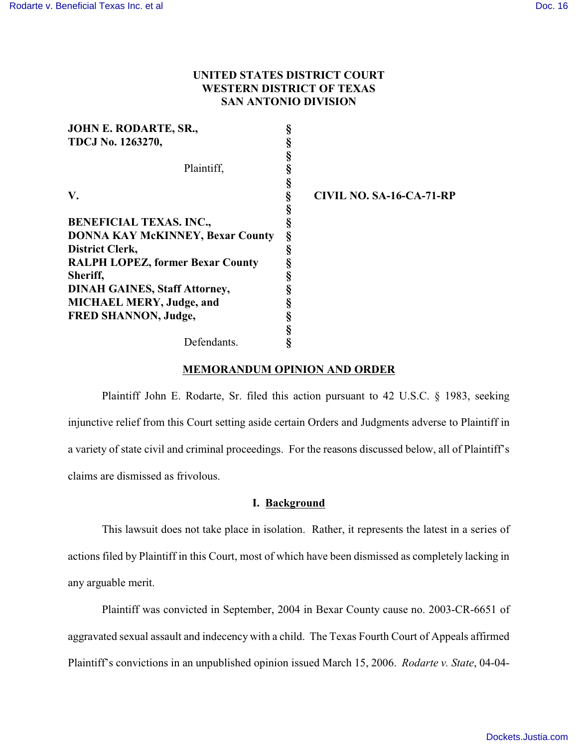# **UNITED STATES DISTRICT COURT WESTERN DISTRICT OF TEXAS SAN ANTONIO DIVISION**

| JOHN E. RODARTE, SR.,                   |   |                          |
|-----------------------------------------|---|--------------------------|
| TDCJ No. 1263270,                       |   |                          |
|                                         |   |                          |
| Plaintiff,                              |   |                          |
|                                         | § |                          |
| V.                                      | ş | CIVIL NO. SA-16-CA-71-RP |
|                                         |   |                          |
| <b>BENEFICIAL TEXAS. INC.,</b>          |   |                          |
| <b>DONNA KAY McKINNEY, Bexar County</b> | § |                          |
| <b>District Clerk,</b>                  | § |                          |
| <b>RALPH LOPEZ, former Bexar County</b> | ş |                          |
| Sheriff,                                |   |                          |
| <b>DINAH GAINES, Staff Attorney,</b>    |   |                          |
| <b>MICHAEL MERY, Judge, and</b>         |   |                          |
| <b>FRED SHANNON, Judge,</b>             |   |                          |
|                                         | § |                          |
| Defendants.                             | ş |                          |

# **MEMORANDUM OPINION AND ORDER**

Plaintiff John E. Rodarte, Sr. filed this action pursuant to 42 U.S.C. § 1983, seeking injunctive relief from this Court setting aside certain Orders and Judgments adverse to Plaintiff in a variety of state civil and criminal proceedings. For the reasons discussed below, all of Plaintiff's claims are dismissed as frivolous.

# **I. Background**

This lawsuit does not take place in isolation. Rather, it represents the latest in a series of actions filed by Plaintiff in this Court, most of which have been dismissed as completely lacking in any arguable merit.

Plaintiff was convicted in September, 2004 in Bexar County cause no. 2003-CR-6651 of aggravated sexual assault and indecency with a child. The Texas Fourth Court of Appeals affirmed Plaintiff's convictions in an unpublished opinion issued March 15, 2006. *Rodarte v. State*, 04-04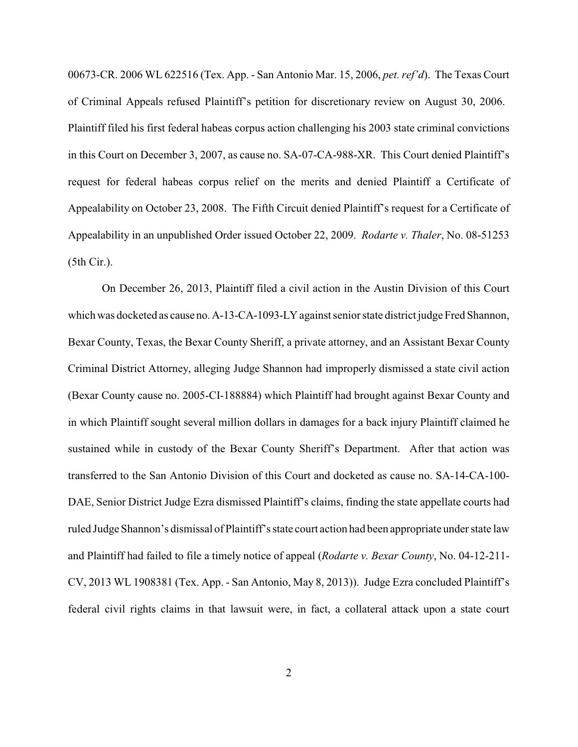00673-CR. 2006 WL 622516 (Tex. App. - San Antonio Mar. 15, 2006, *pet. ref'd*). The Texas Court of Criminal Appeals refused Plaintiff's petition for discretionary review on August 30, 2006. Plaintiff filed his first federal habeas corpus action challenging his 2003 state criminal convictions in this Court on December 3, 2007, as cause no. SA-07-CA-988-XR. This Court denied Plaintiff's request for federal habeas corpus relief on the merits and denied Plaintiff a Certificate of Appealability on October 23, 2008. The Fifth Circuit denied Plaintiff's request for a Certificate of Appealability in an unpublished Order issued October 22, 2009. *Rodarte v. Thaler*, No. 08-51253 (5th Cir.).

On December 26, 2013, Plaintiff filed a civil action in the Austin Division of this Court which was docketed as cause no. A-13-CA-1093-LY against senior state district judge Fred Shannon, Bexar County, Texas, the Bexar County Sheriff, a private attorney, and an Assistant Bexar County Criminal District Attorney, alleging Judge Shannon had improperly dismissed a state civil action (Bexar County cause no. 2005-CI-188884) which Plaintiff had brought against Bexar County and in which Plaintiff sought several million dollars in damages for a back injury Plaintiff claimed he sustained while in custody of the Bexar County Sheriff's Department. After that action was transferred to the San Antonio Division of this Court and docketed as cause no. SA-14-CA-100- DAE, Senior District Judge Ezra dismissed Plaintiff's claims, finding the state appellate courts had ruled Judge Shannon's dismissal of Plaintiff's state court action had been appropriate under state law and Plaintiff had failed to file a timely notice of appeal (*Rodarte v. Bexar County*, No. 04-12-211- CV, 2013 WL 1908381 (Tex. App. - San Antonio, May 8, 2013)). Judge Ezra concluded Plaintiff's federal civil rights claims in that lawsuit were, in fact, a collateral attack upon a state court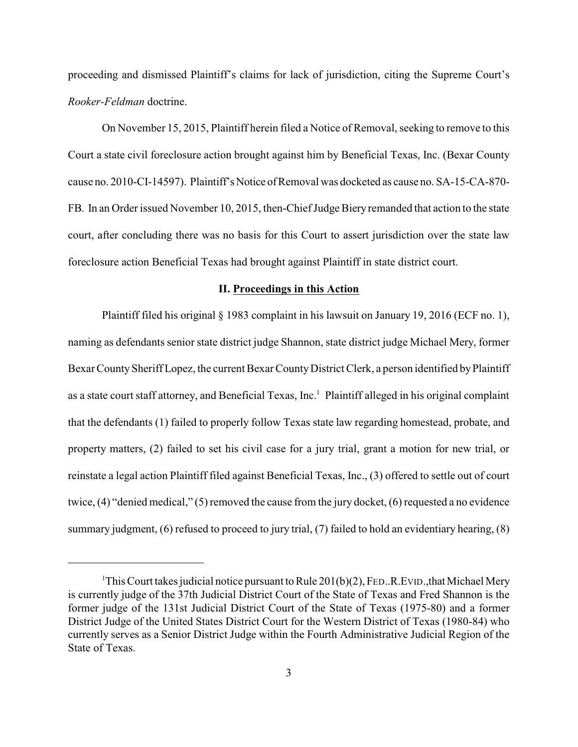proceeding and dismissed Plaintiff's claims for lack of jurisdiction, citing the Supreme Court's *Rooker-Feldman* doctrine.

On November 15, 2015, Plaintiff herein filed a Notice of Removal, seeking to remove to this Court a state civil foreclosure action brought against him by Beneficial Texas, Inc. (Bexar County cause no. 2010-CI-14597). Plaintiff's Notice of Removal was docketed as cause no. SA-15-CA-870-FB. In an Order issued November 10, 2015, then-Chief Judge Biery remanded that action to the state court, after concluding there was no basis for this Court to assert jurisdiction over the state law foreclosure action Beneficial Texas had brought against Plaintiff in state district court.

#### **II. Proceedings in this Action**

Plaintiff filed his original § 1983 complaint in his lawsuit on January 19, 2016 (ECF no. 1), naming as defendants senior state district judge Shannon, state district judge Michael Mery, former Bexar County Sheriff Lopez, the current Bexar County District Clerk, a person identified by Plaintiff as a state court staff attorney, and Beneficial Texas, Inc.<sup>1</sup> Plaintiff alleged in his original complaint that the defendants (1) failed to properly follow Texas state law regarding homestead, probate, and property matters, (2) failed to set his civil case for a jury trial, grant a motion for new trial, or reinstate a legal action Plaintiff filed against Beneficial Texas, Inc., (3) offered to settle out of court twice, (4) "denied medical," (5) removed the cause from the jury docket, (6) requested a no evidence summary judgment, (6) refused to proceed to jury trial, (7) failed to hold an evidentiary hearing, (8)

<sup>&</sup>lt;sup>1</sup>This Court takes judicial notice pursuant to Rule 201(b)(2), FED., R. EVID., that Michael Mery is currently judge of the 37th Judicial District Court of the State of Texas and Fred Shannon is the former judge of the 131st Judicial District Court of the State of Texas (1975-80) and a former District Judge of the United States District Court for the Western District of Texas (1980-84) who currently serves as a Senior District Judge within the Fourth Administrative Judicial Region of the State of Texas.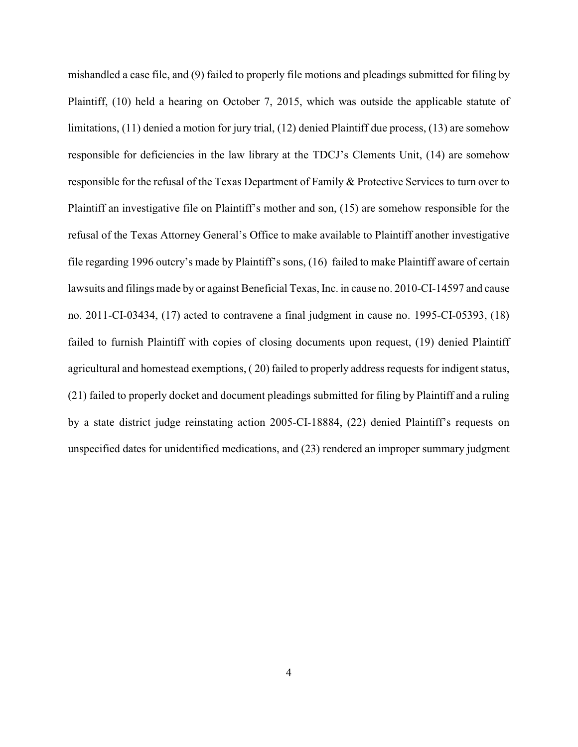mishandled a case file, and (9) failed to properly file motions and pleadings submitted for filing by Plaintiff, (10) held a hearing on October 7, 2015, which was outside the applicable statute of limitations, (11) denied a motion for jury trial, (12) denied Plaintiff due process, (13) are somehow responsible for deficiencies in the law library at the TDCJ's Clements Unit, (14) are somehow responsible for the refusal of the Texas Department of Family & Protective Services to turn over to Plaintiff an investigative file on Plaintiff's mother and son, (15) are somehow responsible for the refusal of the Texas Attorney General's Office to make available to Plaintiff another investigative file regarding 1996 outcry's made by Plaintiff's sons, (16) failed to make Plaintiff aware of certain lawsuits and filings made by or against Beneficial Texas, Inc. in cause no. 2010-CI-14597 and cause no. 2011-CI-03434, (17) acted to contravene a final judgment in cause no. 1995-CI-05393, (18) failed to furnish Plaintiff with copies of closing documents upon request, (19) denied Plaintiff agricultural and homestead exemptions, ( 20) failed to properly address requests for indigent status, (21) failed to properly docket and document pleadings submitted for filing by Plaintiff and a ruling by a state district judge reinstating action 2005-CI-18884, (22) denied Plaintiff's requests on unspecified dates for unidentified medications, and (23) rendered an improper summary judgment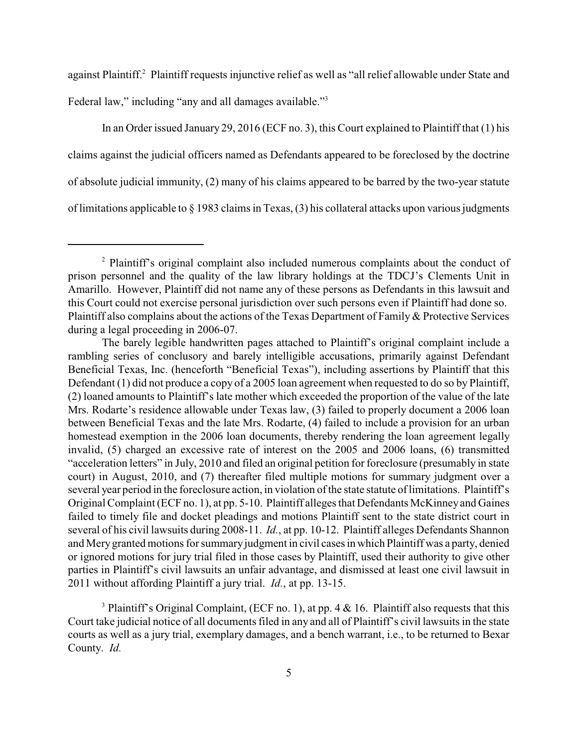against Plaintiff.<sup>2</sup> Plaintiff requests injunctive relief as well as "all relief allowable under State and

Federal law," including "any and all damages available."<sup>3</sup>

In an Order issued January 29, 2016 (ECF no. 3), this Court explained to Plaintiff that (1) his claims against the judicial officers named as Defendants appeared to be foreclosed by the doctrine of absolute judicial immunity, (2) many of his claims appeared to be barred by the two-year statute of limitations applicable to § 1983 claims in Texas, (3) his collateral attacks upon various judgments

<sup>3</sup> Plaintiff's Original Complaint, (ECF no. 1), at pp. 4  $\&$  16. Plaintiff also requests that this Court take judicial notice of all documents filed in any and all of Plaintiff's civil lawsuits in the state courts as well as a jury trial, exemplary damages, and a bench warrant, i.e., to be returned to Bexar County. *Id.*

 $2$  Plaintiff's original complaint also included numerous complaints about the conduct of prison personnel and the quality of the law library holdings at the TDCJ's Clements Unit in Amarillo. However, Plaintiff did not name any of these persons as Defendants in this lawsuit and this Court could not exercise personal jurisdiction over such persons even if Plaintiff had done so. Plaintiff also complains about the actions of the Texas Department of Family & Protective Services during a legal proceeding in 2006-07.

The barely legible handwritten pages attached to Plaintiff's original complaint include a rambling series of conclusory and barely intelligible accusations, primarily against Defendant Beneficial Texas, Inc. (henceforth "Beneficial Texas"), including assertions by Plaintiff that this Defendant (1) did not produce a copy of a 2005 loan agreement when requested to do so by Plaintiff, (2) loaned amounts to Plaintiff's late mother which exceeded the proportion of the value of the late Mrs. Rodarte's residence allowable under Texas law, (3) failed to properly document a 2006 loan between Beneficial Texas and the late Mrs. Rodarte, (4) failed to include a provision for an urban homestead exemption in the 2006 loan documents, thereby rendering the loan agreement legally invalid, (5) charged an excessive rate of interest on the 2005 and 2006 loans, (6) transmitted "acceleration letters" in July, 2010 and filed an original petition for foreclosure (presumably in state court) in August, 2010, and (7) thereafter filed multiple motions for summary judgment over a several year period in the foreclosure action, in violation of the state statute of limitations. Plaintiff's Original Complaint (ECF no. 1), at pp. 5-10. Plaintiff alleges that Defendants McKinneyand Gaines failed to timely file and docket pleadings and motions Plaintiff sent to the state district court in several of his civil lawsuits during 2008-11. *Id.*, at pp. 10-12. Plaintiff alleges Defendants Shannon and Mery granted motions for summary judgment in civil cases in which Plaintiff was a party, denied or ignored motions for jury trial filed in those cases by Plaintiff, used their authority to give other parties in Plaintiff's civil lawsuits an unfair advantage, and dismissed at least one civil lawsuit in 2011 without affording Plaintiff a jury trial. *Id.*, at pp. 13-15.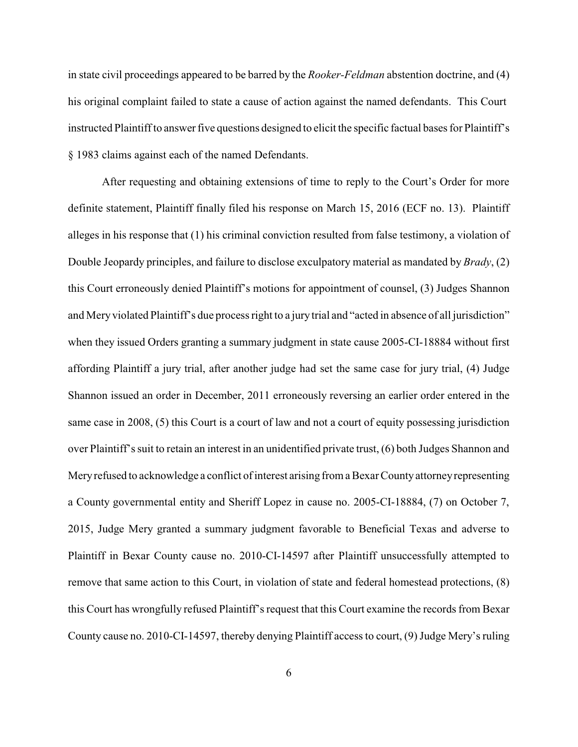in state civil proceedings appeared to be barred by the *Rooker-Feldman* abstention doctrine, and (4) his original complaint failed to state a cause of action against the named defendants. This Court instructed Plaintiff to answer five questions designed to elicit the specific factual bases for Plaintiff's § 1983 claims against each of the named Defendants.

After requesting and obtaining extensions of time to reply to the Court's Order for more definite statement, Plaintiff finally filed his response on March 15, 2016 (ECF no. 13). Plaintiff alleges in his response that (1) his criminal conviction resulted from false testimony, a violation of Double Jeopardy principles, and failure to disclose exculpatory material as mandated by *Brady*, (2) this Court erroneously denied Plaintiff's motions for appointment of counsel, (3) Judges Shannon and Meryviolated Plaintiff's due process right to a jury trial and "acted in absence of all jurisdiction" when they issued Orders granting a summary judgment in state cause 2005-CI-18884 without first affording Plaintiff a jury trial, after another judge had set the same case for jury trial, (4) Judge Shannon issued an order in December, 2011 erroneously reversing an earlier order entered in the same case in 2008, (5) this Court is a court of law and not a court of equity possessing jurisdiction over Plaintiff's suit to retain an interest in an unidentified private trust, (6) both Judges Shannon and Meryrefused to acknowledge a conflict of interest arising from a Bexar Countyattorneyrepresenting a County governmental entity and Sheriff Lopez in cause no. 2005-CI-18884, (7) on October 7, 2015, Judge Mery granted a summary judgment favorable to Beneficial Texas and adverse to Plaintiff in Bexar County cause no. 2010-CI-14597 after Plaintiff unsuccessfully attempted to remove that same action to this Court, in violation of state and federal homestead protections, (8) this Court has wrongfully refused Plaintiff's request that this Court examine the records from Bexar County cause no. 2010-CI-14597, thereby denying Plaintiff access to court, (9) Judge Mery's ruling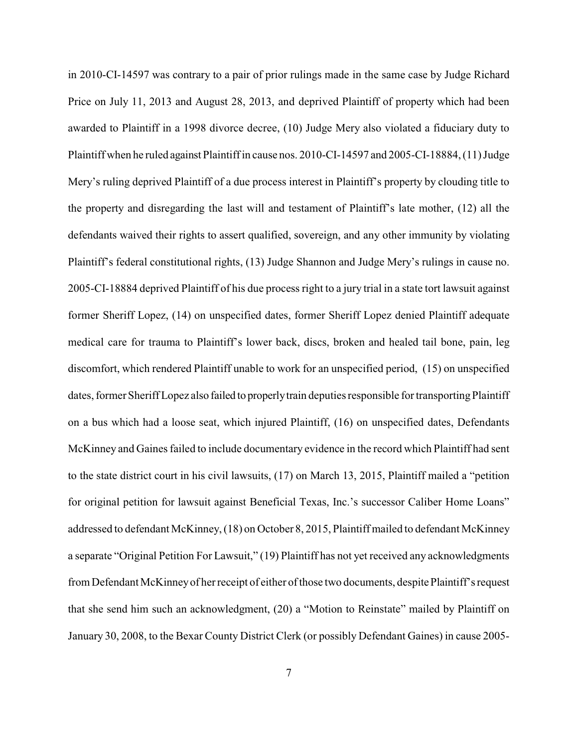in 2010-CI-14597 was contrary to a pair of prior rulings made in the same case by Judge Richard Price on July 11, 2013 and August 28, 2013, and deprived Plaintiff of property which had been awarded to Plaintiff in a 1998 divorce decree, (10) Judge Mery also violated a fiduciary duty to Plaintiff when he ruled against Plaintiff in cause nos. 2010-CI-14597 and 2005-CI-18884, (11) Judge Mery's ruling deprived Plaintiff of a due process interest in Plaintiff's property by clouding title to the property and disregarding the last will and testament of Plaintiff's late mother, (12) all the defendants waived their rights to assert qualified, sovereign, and any other immunity by violating Plaintiff's federal constitutional rights, (13) Judge Shannon and Judge Mery's rulings in cause no. 2005-CI-18884 deprived Plaintiff of his due process right to a jury trial in a state tort lawsuit against former Sheriff Lopez, (14) on unspecified dates, former Sheriff Lopez denied Plaintiff adequate medical care for trauma to Plaintiff's lower back, discs, broken and healed tail bone, pain, leg discomfort, which rendered Plaintiff unable to work for an unspecified period, (15) on unspecified dates, former Sheriff Lopez also failed to properly train deputies responsible for transporting Plaintiff on a bus which had a loose seat, which injured Plaintiff, (16) on unspecified dates, Defendants McKinney and Gaines failed to include documentary evidence in the record which Plaintiff had sent to the state district court in his civil lawsuits, (17) on March 13, 2015, Plaintiff mailed a "petition for original petition for lawsuit against Beneficial Texas, Inc.'s successor Caliber Home Loans" addressed to defendant McKinney, (18) on October 8, 2015, Plaintiff mailed to defendant McKinney a separate "Original Petition For Lawsuit," (19) Plaintiff has not yet received any acknowledgments from Defendant McKinney of her receipt of either of those two documents, despite Plaintiff's request that she send him such an acknowledgment, (20) a "Motion to Reinstate" mailed by Plaintiff on January 30, 2008, to the Bexar County District Clerk (or possibly Defendant Gaines) in cause 2005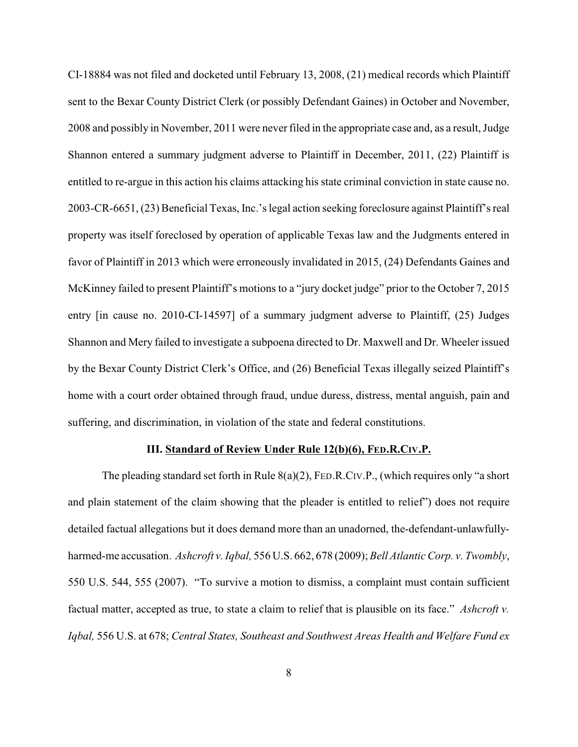CI-18884 was not filed and docketed until February 13, 2008, (21) medical records which Plaintiff sent to the Bexar County District Clerk (or possibly Defendant Gaines) in October and November, 2008 and possibly in November, 2011 were neverfiled in the appropriate case and, as a result, Judge Shannon entered a summary judgment adverse to Plaintiff in December, 2011, (22) Plaintiff is entitled to re-argue in this action his claims attacking his state criminal conviction in state cause no. 2003-CR-6651, (23) Beneficial Texas, Inc.'s legal action seeking foreclosure against Plaintiff's real property was itself foreclosed by operation of applicable Texas law and the Judgments entered in favor of Plaintiff in 2013 which were erroneously invalidated in 2015, (24) Defendants Gaines and McKinney failed to present Plaintiff's motions to a "jury docket judge" prior to the October 7, 2015 entry [in cause no. 2010-CI-14597] of a summary judgment adverse to Plaintiff, (25) Judges Shannon and Mery failed to investigate a subpoena directed to Dr. Maxwell and Dr. Wheeler issued by the Bexar County District Clerk's Office, and (26) Beneficial Texas illegally seized Plaintiff's home with a court order obtained through fraud, undue duress, distress, mental anguish, pain and suffering, and discrimination, in violation of the state and federal constitutions.

# **III. Standard of Review Under Rule 12(b)(6), FED.R.CIV.P.**

The pleading standard set forth in Rule 8(a)(2), FED.R.CIV.P., (which requires only "a short and plain statement of the claim showing that the pleader is entitled to relief") does not require detailed factual allegations but it does demand more than an unadorned, the-defendant-unlawfullyharmed-me accusation. *Ashcroft v. Iqbal,* 556 U.S. 662, 678 (2009); *Bell Atlantic Corp. v. Twombly*, 550 U.S. 544, 555 (2007). "To survive a motion to dismiss, a complaint must contain sufficient factual matter, accepted as true, to state a claim to relief that is plausible on its face." *Ashcroft v. Iqbal,* 556 U.S. at 678; *Central States, Southeast and Southwest Areas Health and Welfare Fund ex*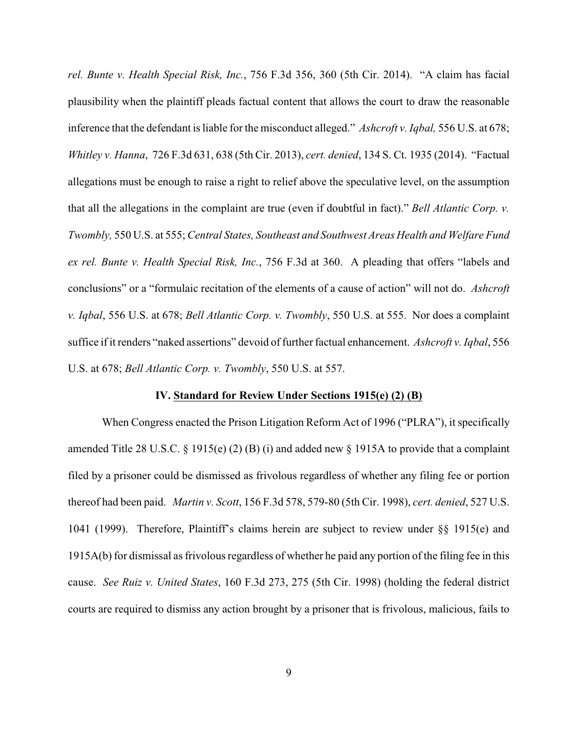*rel. Bunte v. Health Special Risk, Inc.*, 756 F.3d 356, 360 (5th Cir. 2014). "A claim has facial plausibility when the plaintiff pleads factual content that allows the court to draw the reasonable inference that the defendant is liable for the misconduct alleged." *Ashcroft v. Iqbal,* 556 U.S. at 678; *Whitley v. Hanna*, 726 F.3d 631, 638 (5th Cir. 2013), *cert. denied*, 134 S. Ct. 1935 (2014). "Factual allegations must be enough to raise a right to relief above the speculative level, on the assumption that all the allegations in the complaint are true (even if doubtful in fact)." *Bell Atlantic Corp. v. Twombly,* 550 U.S. at 555; *Central States, Southeast and Southwest Areas Health and Welfare Fund ex rel. Bunte v. Health Special Risk, Inc.*, 756 F.3d at 360. A pleading that offers "labels and conclusions" or a "formulaic recitation of the elements of a cause of action" will not do. *Ashcroft v. Iqbal*, 556 U.S. at 678; *Bell Atlantic Corp. v. Twombly*, 550 U.S. at 555. Nor does a complaint suffice if it renders "naked assertions" devoid of further factual enhancement. *Ashcroft v. Iqbal*, 556 U.S. at 678; *Bell Atlantic Corp. v. Twombly*, 550 U.S. at 557.

### **IV. Standard for Review Under Sections 1915(e) (2) (B)**

When Congress enacted the Prison Litigation Reform Act of 1996 ("PLRA"), it specifically amended Title 28 U.S.C.  $\S$  1915(e) (2) (B) (i) and added new  $\S$  1915A to provide that a complaint filed by a prisoner could be dismissed as frivolous regardless of whether any filing fee or portion thereof had been paid. *Martin v. Scott*, 156 F.3d 578, 579-80 (5th Cir. 1998), *cert. denied*, 527 U.S. 1041 (1999). Therefore, Plaintiff's claims herein are subject to review under §§ 1915(e) and 1915A(b) for dismissal as frivolous regardless of whether he paid any portion of the filing fee in this cause. *See Ruiz v. United States*, 160 F.3d 273, 275 (5th Cir. 1998) (holding the federal district courts are required to dismiss any action brought by a prisoner that is frivolous, malicious, fails to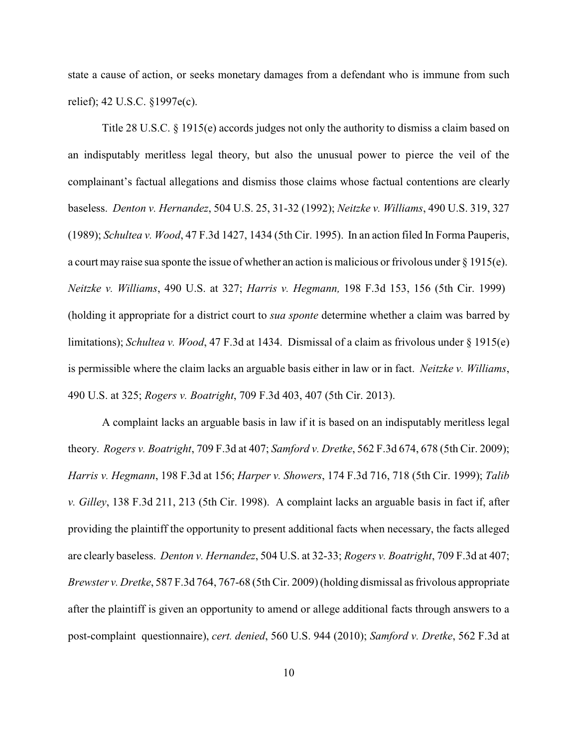state a cause of action, or seeks monetary damages from a defendant who is immune from such relief); 42 U.S.C. §1997e(c).

Title 28 U.S.C. § 1915(e) accords judges not only the authority to dismiss a claim based on an indisputably meritless legal theory, but also the unusual power to pierce the veil of the complainant's factual allegations and dismiss those claims whose factual contentions are clearly baseless. *Denton v. Hernandez*, 504 U.S. 25, 31-32 (1992); *Neitzke v. Williams*, 490 U.S. 319, 327 (1989); *Schultea v. Wood*, 47 F.3d 1427, 1434 (5th Cir. 1995). In an action filed In Forma Pauperis, a court may raise sua sponte the issue of whether an action is malicious or frivolous under § 1915(e). *Neitzke v. Williams*, 490 U.S. at 327; *Harris v. Hegmann,* 198 F.3d 153, 156 (5th Cir. 1999) (holding it appropriate for a district court to *sua sponte* determine whether a claim was barred by limitations); *Schultea v. Wood*, 47 F.3d at 1434. Dismissal of a claim as frivolous under § 1915(e) is permissible where the claim lacks an arguable basis either in law or in fact. *Neitzke v. Williams*, 490 U.S. at 325; *Rogers v. Boatright*, 709 F.3d 403, 407 (5th Cir. 2013).

A complaint lacks an arguable basis in law if it is based on an indisputably meritless legal theory. *Rogers v. Boatright*, 709 F.3d at 407; *Samford v. Dretke*, 562 F.3d 674, 678 (5th Cir. 2009); *Harris v. Hegmann*, 198 F.3d at 156; *Harper v. Showers*, 174 F.3d 716, 718 (5th Cir. 1999); *Talib v. Gilley*, 138 F.3d 211, 213 (5th Cir. 1998). A complaint lacks an arguable basis in fact if, after providing the plaintiff the opportunity to present additional facts when necessary, the facts alleged are clearly baseless. *Denton v. Hernandez*, 504 U.S. at 32-33; *Rogers v. Boatright*, 709 F.3d at 407; *Brewster v. Dretke*, 587 F.3d 764, 767-68 (5th Cir. 2009) (holding dismissal as frivolous appropriate after the plaintiff is given an opportunity to amend or allege additional facts through answers to a post-complaint questionnaire), *cert. denied*, 560 U.S. 944 (2010); *Samford v. Dretke*, 562 F.3d at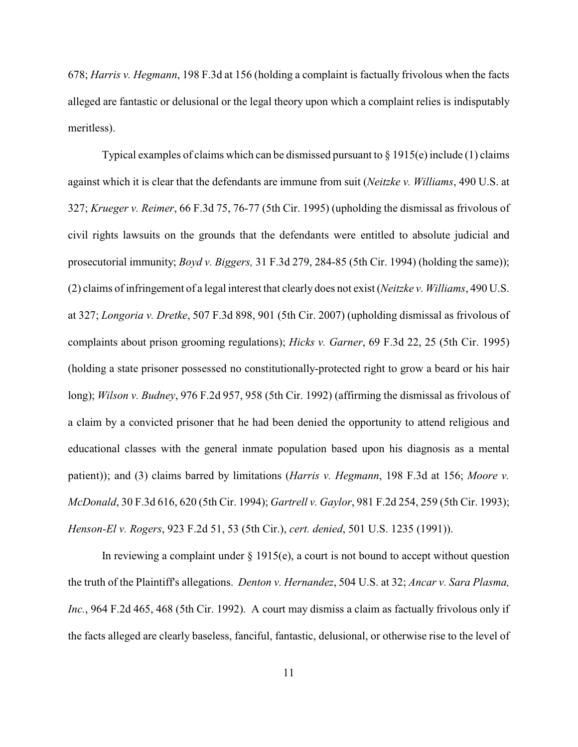678; *Harris v. Hegmann*, 198 F.3d at 156 (holding a complaint is factually frivolous when the facts alleged are fantastic or delusional or the legal theory upon which a complaint relies is indisputably meritless).

Typical examples of claims which can be dismissed pursuant to  $\S 1915(e)$  include (1) claims against which it is clear that the defendants are immune from suit (*Neitzke v. Williams*, 490 U.S. at 327; *Krueger v. Reimer*, 66 F.3d 75, 76-77 (5th Cir. 1995) (upholding the dismissal as frivolous of civil rights lawsuits on the grounds that the defendants were entitled to absolute judicial and prosecutorial immunity; *Boyd v. Biggers,* 31 F.3d 279, 284-85 (5th Cir. 1994) (holding the same)); (2) claims of infringement of a legal interest that clearly does not exist (*Neitzke v. Williams*, 490 U.S. at 327; *Longoria v. Dretke*, 507 F.3d 898, 901 (5th Cir. 2007) (upholding dismissal as frivolous of complaints about prison grooming regulations); *Hicks v. Garner*, 69 F.3d 22, 25 (5th Cir. 1995) (holding a state prisoner possessed no constitutionally-protected right to grow a beard or his hair long); *Wilson v. Budney*, 976 F.2d 957, 958 (5th Cir. 1992) (affirming the dismissal as frivolous of a claim by a convicted prisoner that he had been denied the opportunity to attend religious and educational classes with the general inmate population based upon his diagnosis as a mental patient)); and (3) claims barred by limitations (*Harris v. Hegmann*, 198 F.3d at 156; *Moore v. McDonald*, 30 F.3d 616, 620 (5th Cir. 1994); *Gartrell v. Gaylor*, 981 F.2d 254, 259 (5th Cir. 1993); *Henson-El v. Rogers*, 923 F.2d 51, 53 (5th Cir.), *cert. denied*, 501 U.S. 1235 (1991)).

In reviewing a complaint under  $\S$  1915(e), a court is not bound to accept without question the truth of the Plaintiff's allegations. *Denton v. Hernandez*, 504 U.S. at 32; *Ancar v. Sara Plasma, Inc.*, 964 F.2d 465, 468 (5th Cir. 1992). A court may dismiss a claim as factually frivolous only if the facts alleged are clearly baseless, fanciful, fantastic, delusional, or otherwise rise to the level of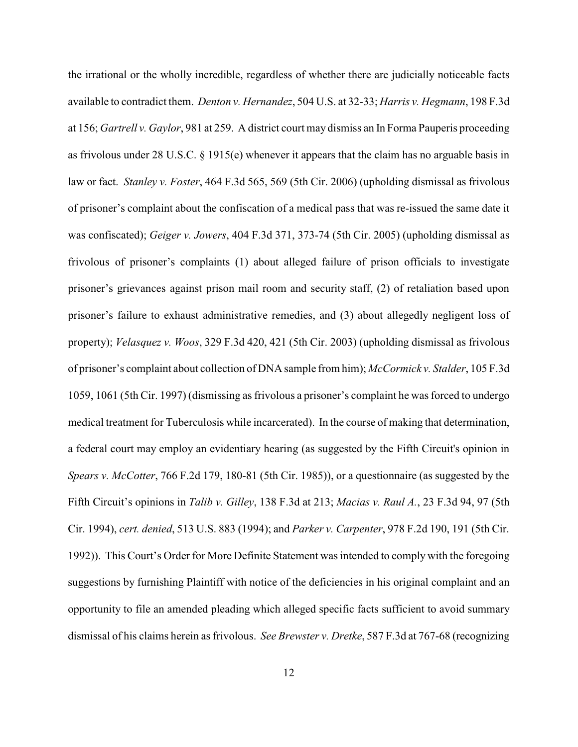the irrational or the wholly incredible, regardless of whether there are judicially noticeable facts available to contradict them. *Denton v. Hernandez*, 504 U.S. at 32-33; *Harris v. Hegmann*, 198 F.3d at 156; *Gartrell v. Gaylor*, 981 at 259. A district court may dismiss an In Forma Pauperis proceeding as frivolous under 28 U.S.C. § 1915(e) whenever it appears that the claim has no arguable basis in law or fact. *Stanley v. Foster*, 464 F.3d 565, 569 (5th Cir. 2006) (upholding dismissal as frivolous of prisoner's complaint about the confiscation of a medical pass that was re-issued the same date it was confiscated); *Geiger v. Jowers*, 404 F.3d 371, 373-74 (5th Cir. 2005) (upholding dismissal as frivolous of prisoner's complaints (1) about alleged failure of prison officials to investigate prisoner's grievances against prison mail room and security staff, (2) of retaliation based upon prisoner's failure to exhaust administrative remedies, and (3) about allegedly negligent loss of property); *Velasquez v. Woos*, 329 F.3d 420, 421 (5th Cir. 2003) (upholding dismissal as frivolous of prisoner's complaint about collection of DNA sample from him); *McCormick v. Stalder*, 105 F.3d 1059, 1061 (5th Cir. 1997) (dismissing as frivolous a prisoner's complaint he was forced to undergo medical treatment for Tuberculosis while incarcerated). In the course of making that determination, a federal court may employ an evidentiary hearing (as suggested by the Fifth Circuit's opinion in *Spears v. McCotter*, 766 F.2d 179, 180-81 (5th Cir. 1985)), or a questionnaire (as suggested by the Fifth Circuit's opinions in *Talib v. Gilley*, 138 F.3d at 213; *Macias v. Raul A.*, 23 F.3d 94, 97 (5th Cir. 1994), *cert. denied*, 513 U.S. 883 (1994); and *Parker v. Carpenter*, 978 F.2d 190, 191 (5th Cir. 1992)). This Court's Order for More Definite Statement was intended to comply with the foregoing suggestions by furnishing Plaintiff with notice of the deficiencies in his original complaint and an opportunity to file an amended pleading which alleged specific facts sufficient to avoid summary dismissal of his claims herein as frivolous. *See Brewster v. Dretke*, 587 F.3d at 767-68 (recognizing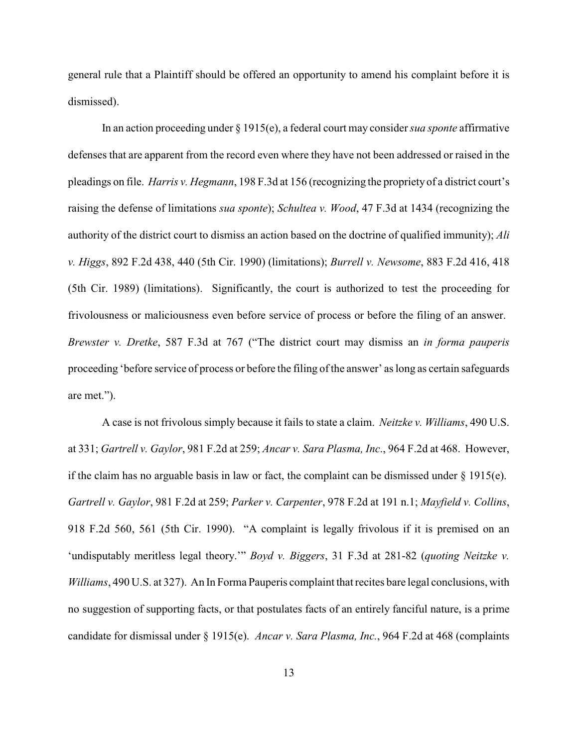general rule that a Plaintiff should be offered an opportunity to amend his complaint before it is dismissed).

In an action proceeding under § 1915(e), a federal court may consider *sua sponte* affirmative defenses that are apparent from the record even where they have not been addressed or raised in the pleadings on file. *Harris v. Hegmann*, 198 F.3d at 156 (recognizing the propriety of a district court's raising the defense of limitations *sua sponte*); *Schultea v. Wood*, 47 F.3d at 1434 (recognizing the authority of the district court to dismiss an action based on the doctrine of qualified immunity); *Ali v. Higgs*, 892 F.2d 438, 440 (5th Cir. 1990) (limitations); *Burrell v. Newsome*, 883 F.2d 416, 418 (5th Cir. 1989) (limitations). Significantly, the court is authorized to test the proceeding for frivolousness or maliciousness even before service of process or before the filing of an answer. *Brewster v. Dretke*, 587 F.3d at 767 ("The district court may dismiss an *in forma pauperis* proceeding 'before service of process or before the filing of the answer' as long as certain safeguards are met.").

A case is not frivolous simply because it fails to state a claim. *Neitzke v. Williams*, 490 U.S. at 331; *Gartrell v. Gaylor*, 981 F.2d at 259; *Ancar v. Sara Plasma, Inc*., 964 F.2d at 468. However, if the claim has no arguable basis in law or fact, the complaint can be dismissed under  $\S 1915(e)$ . *Gartrell v. Gaylor*, 981 F.2d at 259; *Parker v. Carpenter*, 978 F.2d at 191 n.1; *Mayfield v. Collins*, 918 F.2d 560, 561 (5th Cir. 1990). "A complaint is legally frivolous if it is premised on an 'undisputably meritless legal theory.'" *Boyd v. Biggers*, 31 F.3d at 281-82 (*quoting Neitzke v. Williams*, 490 U.S. at 327). An In Forma Pauperis complaint that recites bare legal conclusions, with no suggestion of supporting facts, or that postulates facts of an entirely fanciful nature, is a prime candidate for dismissal under § 1915(e). *Ancar v. Sara Plasma, Inc.*, 964 F.2d at 468 (complaints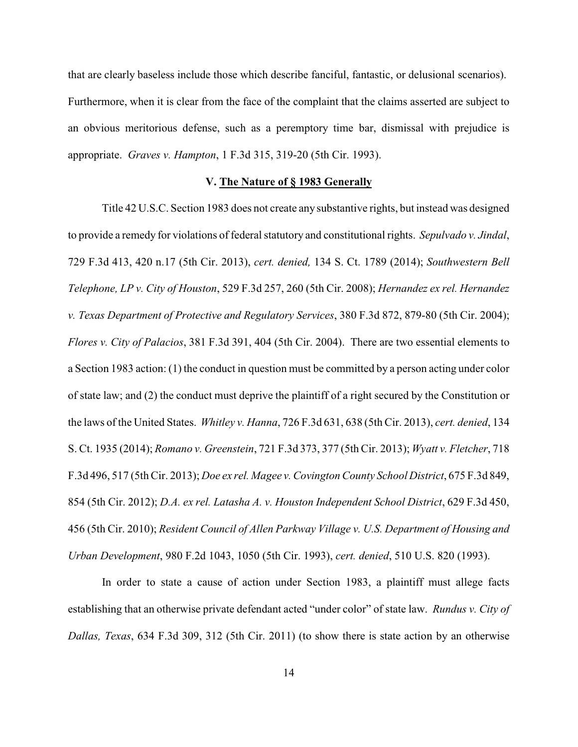that are clearly baseless include those which describe fanciful, fantastic, or delusional scenarios). Furthermore, when it is clear from the face of the complaint that the claims asserted are subject to an obvious meritorious defense, such as a peremptory time bar, dismissal with prejudice is appropriate. *Graves v. Hampton*, 1 F.3d 315, 319-20 (5th Cir. 1993).

### **V. The Nature of § 1983 Generally**

Title 42 U.S.C. Section 1983 does not create any substantive rights, but instead was designed to provide a remedy for violations of federal statutory and constitutional rights. *Sepulvado v. Jindal*, 729 F.3d 413, 420 n.17 (5th Cir. 2013), *cert. denied,* 134 S. Ct. 1789 (2014); *Southwestern Bell Telephone, LP v. City of Houston*, 529 F.3d 257, 260 (5th Cir. 2008); *Hernandez ex rel. Hernandez v. Texas Department of Protective and Regulatory Services*, 380 F.3d 872, 879-80 (5th Cir. 2004); *Flores v. City of Palacios*, 381 F.3d 391, 404 (5th Cir. 2004). There are two essential elements to a Section 1983 action: (1) the conduct in question must be committed by a person acting under color of state law; and (2) the conduct must deprive the plaintiff of a right secured by the Constitution or the laws of the United States. *Whitley v. Hanna*, 726 F.3d 631, 638 (5th Cir. 2013), *cert. denied*, 134 S. Ct. 1935 (2014); *Romano v. Greenstein*, 721 F.3d 373, 377 (5th Cir. 2013); *Wyatt v. Fletcher*, 718 F.3d 496, 517 (5th Cir. 2013); *Doe ex rel. Magee v. Covington County School District*, 675 F.3d 849, 854 (5th Cir. 2012); *D.A. ex rel. Latasha A. v. Houston Independent School District*, 629 F.3d 450, 456 (5th Cir. 2010); *Resident Council of Allen Parkway Village v. U.S. Department of Housing and Urban Development*, 980 F.2d 1043, 1050 (5th Cir. 1993), *cert. denied*, 510 U.S. 820 (1993).

In order to state a cause of action under Section 1983, a plaintiff must allege facts establishing that an otherwise private defendant acted "under color" of state law. *Rundus v. City of Dallas, Texas*, 634 F.3d 309, 312 (5th Cir. 2011) (to show there is state action by an otherwise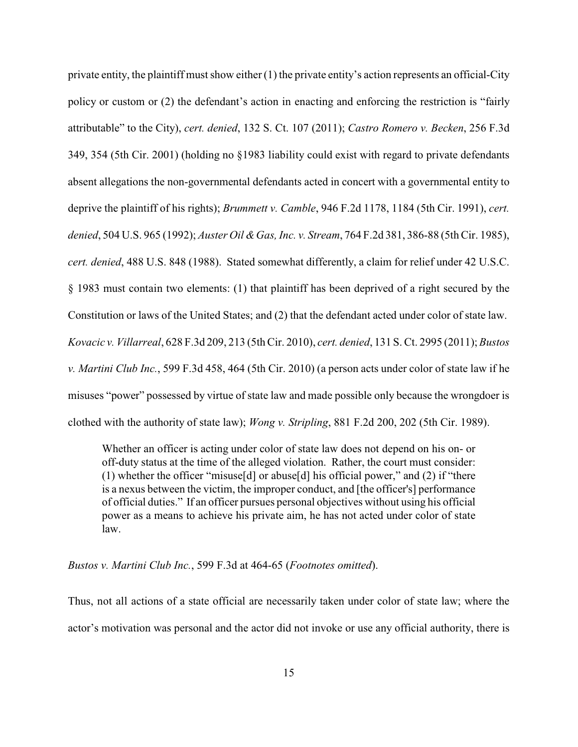private entity, the plaintiff must show either (1) the private entity's action represents an official-City policy or custom or (2) the defendant's action in enacting and enforcing the restriction is "fairly attributable" to the City), *cert. denied*, 132 S. Ct. 107 (2011); *Castro Romero v. Becken*, 256 F.3d 349, 354 (5th Cir. 2001) (holding no §1983 liability could exist with regard to private defendants absent allegations the non-governmental defendants acted in concert with a governmental entity to deprive the plaintiff of his rights); *Brummett v. Camble*, 946 F.2d 1178, 1184 (5th Cir. 1991), *cert. denied*, 504 U.S. 965 (1992); *Auster Oil &Gas, Inc. v. Stream*, 764 F.2d 381, 386-88 (5th Cir. 1985), *cert. denied*, 488 U.S. 848 (1988). Stated somewhat differently, a claim for relief under 42 U.S.C. § 1983 must contain two elements: (1) that plaintiff has been deprived of a right secured by the Constitution or laws of the United States; and (2) that the defendant acted under color of state law. *Kovacic v. Villarreal*, 628 F.3d 209, 213 (5th Cir. 2010), *cert. denied*, 131 S. Ct. 2995 (2011); *Bustos v. Martini Club Inc.*, 599 F.3d 458, 464 (5th Cir. 2010) (a person acts under color of state law if he misuses "power" possessed by virtue of state law and made possible only because the wrongdoer is clothed with the authority of state law); *Wong v. Stripling*, 881 F.2d 200, 202 (5th Cir. 1989).

Whether an officer is acting under color of state law does not depend on his on- or off-duty status at the time of the alleged violation. Rather, the court must consider: (1) whether the officer "misuse[d] or abuse[d] his official power," and (2) if "there is a nexus between the victim, the improper conduct, and [the officer's] performance of official duties." If an officer pursues personal objectives without using his official power as a means to achieve his private aim, he has not acted under color of state law.

*Bustos v. Martini Club Inc.*, 599 F.3d at 464-65 (*Footnotes omitted*).

Thus, not all actions of a state official are necessarily taken under color of state law; where the actor's motivation was personal and the actor did not invoke or use any official authority, there is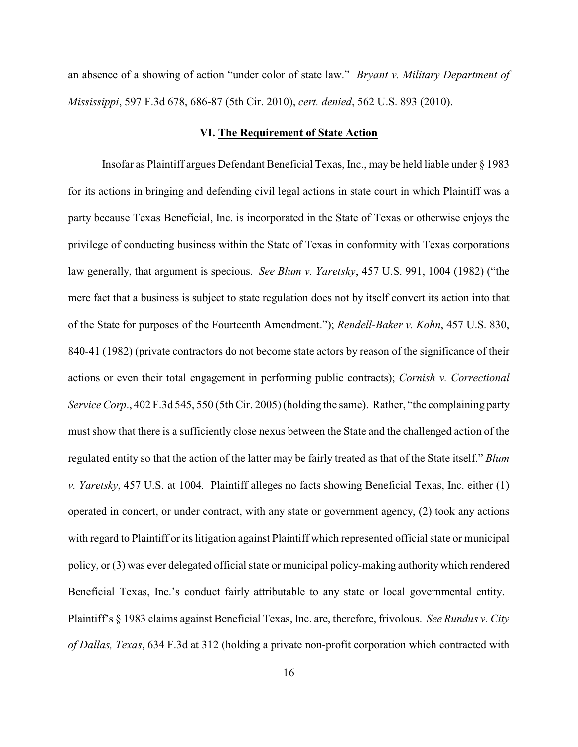an absence of a showing of action "under color of state law." *Bryant v. Military Department of Mississippi*, 597 F.3d 678, 686-87 (5th Cir. 2010), *cert. denied*, 562 U.S. 893 (2010).

### **VI. The Requirement of State Action**

Insofar as Plaintiff argues Defendant Beneficial Texas, Inc., may be held liable under § 1983 for its actions in bringing and defending civil legal actions in state court in which Plaintiff was a party because Texas Beneficial, Inc. is incorporated in the State of Texas or otherwise enjoys the privilege of conducting business within the State of Texas in conformity with Texas corporations law generally, that argument is specious. *See Blum v. Yaretsky*, 457 U.S. 991, 1004 (1982) ("the mere fact that a business is subject to state regulation does not by itself convert its action into that of the State for purposes of the Fourteenth Amendment."); *Rendell-Baker v. Kohn*, 457 U.S. 830, 840-41 (1982) (private contractors do not become state actors by reason of the significance of their actions or even their total engagement in performing public contracts); *Cornish v. Correctional Service Corp*., 402 F.3d 545, 550 (5th Cir. 2005) (holding the same). Rather, "the complaining party must show that there is a sufficiently close nexus between the State and the challenged action of the regulated entity so that the action of the latter may be fairly treated as that of the State itself." *Blum v. Yaretsky*, 457 U.S. at 1004*.* Plaintiff alleges no facts showing Beneficial Texas, Inc. either (1) operated in concert, or under contract, with any state or government agency, (2) took any actions with regard to Plaintiff or its litigation against Plaintiff which represented official state or municipal policy, or (3) was ever delegated official state or municipal policy-making authority which rendered Beneficial Texas, Inc.'s conduct fairly attributable to any state or local governmental entity. Plaintiff's § 1983 claims against Beneficial Texas, Inc. are, therefore, frivolous. *See Rundus v. City of Dallas, Texas*, 634 F.3d at 312 (holding a private non-profit corporation which contracted with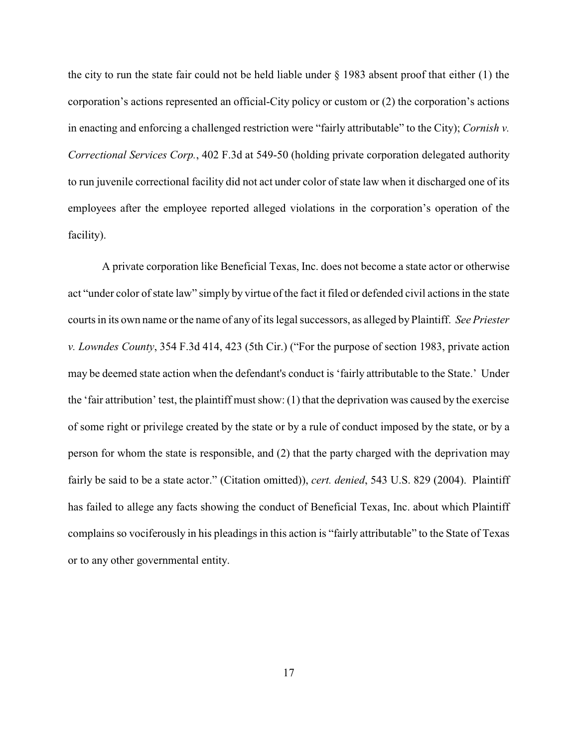the city to run the state fair could not be held liable under § 1983 absent proof that either (1) the corporation's actions represented an official-City policy or custom or (2) the corporation's actions in enacting and enforcing a challenged restriction were "fairly attributable" to the City); *Cornish v. Correctional Services Corp.*, 402 F.3d at 549-50 (holding private corporation delegated authority to run juvenile correctional facility did not act under color of state law when it discharged one of its employees after the employee reported alleged violations in the corporation's operation of the facility).

A private corporation like Beneficial Texas, Inc. does not become a state actor or otherwise act "under color of state law" simply by virtue of the fact it filed or defended civil actions in the state courts in its own name or the name of any of its legal successors, as alleged by Plaintiff. *See Priester v. Lowndes County*, 354 F.3d 414, 423 (5th Cir.) ("For the purpose of section 1983, private action may be deemed state action when the defendant's conduct is 'fairly attributable to the State.' Under the 'fair attribution' test, the plaintiff must show: (1) that the deprivation was caused by the exercise of some right or privilege created by the state or by a rule of conduct imposed by the state, or by a person for whom the state is responsible, and (2) that the party charged with the deprivation may fairly be said to be a state actor." (Citation omitted)), *cert. denied*, 543 U.S. 829 (2004). Plaintiff has failed to allege any facts showing the conduct of Beneficial Texas, Inc. about which Plaintiff complains so vociferously in his pleadings in this action is "fairly attributable" to the State of Texas or to any other governmental entity.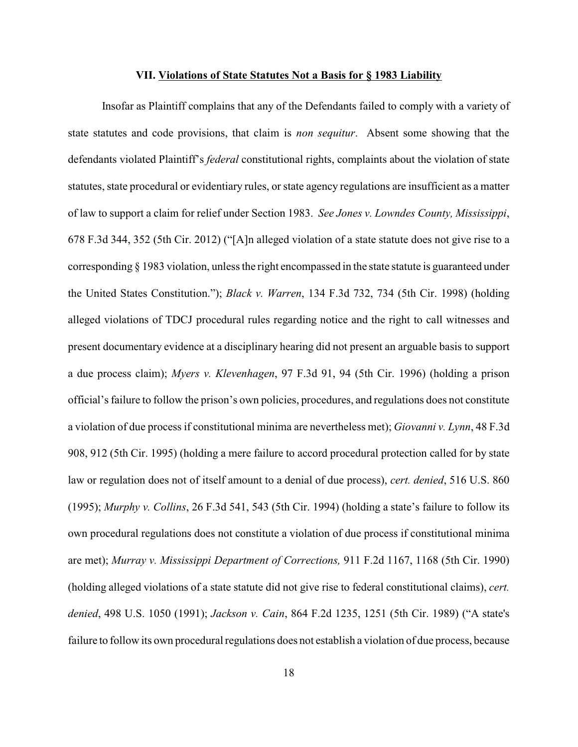#### **VII. Violations of State Statutes Not a Basis for § 1983 Liability**

Insofar as Plaintiff complains that any of the Defendants failed to comply with a variety of state statutes and code provisions, that claim is *non sequitur*. Absent some showing that the defendants violated Plaintiff's *federal* constitutional rights, complaints about the violation of state statutes, state procedural or evidentiary rules, or state agency regulations are insufficient as a matter of law to support a claim for relief under Section 1983. *See Jones v. Lowndes County, Mississippi*, 678 F.3d 344, 352 (5th Cir. 2012) ("[A]n alleged violation of a state statute does not give rise to a corresponding § 1983 violation, unless the right encompassed in the state statute is guaranteed under the United States Constitution."); *Black v. Warren*, 134 F.3d 732, 734 (5th Cir. 1998) (holding alleged violations of TDCJ procedural rules regarding notice and the right to call witnesses and present documentary evidence at a disciplinary hearing did not present an arguable basis to support a due process claim); *Myers v. Klevenhagen*, 97 F.3d 91, 94 (5th Cir. 1996) (holding a prison official's failure to follow the prison's own policies, procedures, and regulations does not constitute a violation of due process if constitutional minima are nevertheless met); *Giovanni v. Lynn*, 48 F.3d 908, 912 (5th Cir. 1995) (holding a mere failure to accord procedural protection called for by state law or regulation does not of itself amount to a denial of due process), *cert. denied*, 516 U.S. 860 (1995); *Murphy v. Collins*, 26 F.3d 541, 543 (5th Cir. 1994) (holding a state's failure to follow its own procedural regulations does not constitute a violation of due process if constitutional minima are met); *Murray v. Mississippi Department of Corrections,* 911 F.2d 1167, 1168 (5th Cir. 1990) (holding alleged violations of a state statute did not give rise to federal constitutional claims), *cert. denied*, 498 U.S. 1050 (1991); *Jackson v. Cain*, 864 F.2d 1235, 1251 (5th Cir. 1989) ("A state's failure to follow its own procedural regulations does not establish a violation of due process, because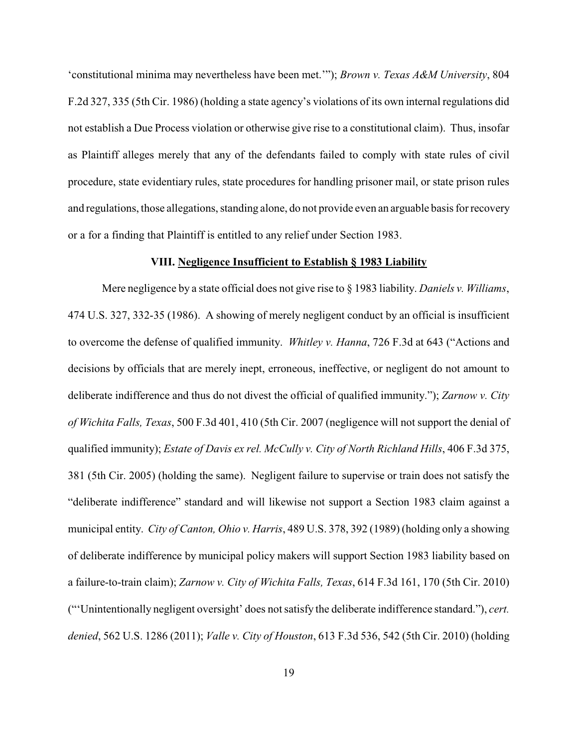'constitutional minima may nevertheless have been met.'"); *Brown v. Texas A&M University*, 804 F.2d 327, 335 (5th Cir. 1986) (holding a state agency's violations of its own internal regulations did not establish a Due Process violation or otherwise give rise to a constitutional claim). Thus, insofar as Plaintiff alleges merely that any of the defendants failed to comply with state rules of civil procedure, state evidentiary rules, state procedures for handling prisoner mail, or state prison rules and regulations, those allegations, standing alone, do not provide even an arguable basis for recovery or a for a finding that Plaintiff is entitled to any relief under Section 1983.

# **VIII. Negligence Insufficient to Establish § 1983 Liability**

Mere negligence by a state official does not give rise to § 1983 liability. *Daniels v. Williams*, 474 U.S. 327, 332-35 (1986). A showing of merely negligent conduct by an official is insufficient to overcome the defense of qualified immunity. *Whitley v. Hanna*, 726 F.3d at 643 ("Actions and decisions by officials that are merely inept, erroneous, ineffective, or negligent do not amount to deliberate indifference and thus do not divest the official of qualified immunity."); *Zarnow v. City of Wichita Falls, Texas*, 500 F.3d 401, 410 (5th Cir. 2007 (negligence will not support the denial of qualified immunity); *Estate of Davis ex rel. McCully v. City of North Richland Hills*, 406 F.3d 375, 381 (5th Cir. 2005) (holding the same). Negligent failure to supervise or train does not satisfy the "deliberate indifference" standard and will likewise not support a Section 1983 claim against a municipal entity. *City of Canton, Ohio v. Harris*, 489 U.S. 378, 392 (1989) (holding only a showing of deliberate indifference by municipal policy makers will support Section 1983 liability based on a failure-to-train claim); *Zarnow v. City of Wichita Falls, Texas*, 614 F.3d 161, 170 (5th Cir. 2010) ("'Unintentionally negligent oversight' does not satisfy the deliberate indifference standard."), *cert. denied*, 562 U.S. 1286 (2011); *Valle v. City of Houston*, 613 F.3d 536, 542 (5th Cir. 2010) (holding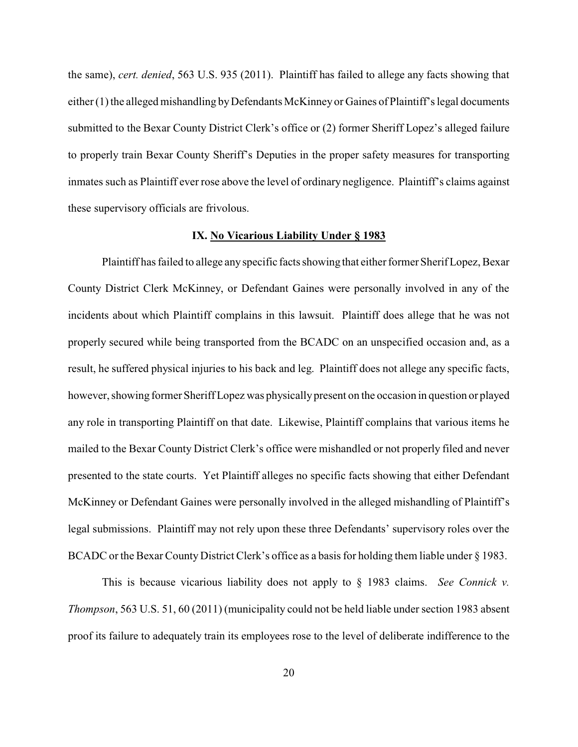the same), *cert. denied*, 563 U.S. 935 (2011). Plaintiff has failed to allege any facts showing that either (1) the alleged mishandling by Defendants McKinney or Gaines of Plaintiff's legal documents submitted to the Bexar County District Clerk's office or (2) former Sheriff Lopez's alleged failure to properly train Bexar County Sheriff's Deputies in the proper safety measures for transporting inmates such as Plaintiff ever rose above the level of ordinary negligence. Plaintiff's claims against these supervisory officials are frivolous.

# **IX. No Vicarious Liability Under § 1983**

Plaintiff has failed to allege any specific facts showing that either formerSherif Lopez, Bexar County District Clerk McKinney, or Defendant Gaines were personally involved in any of the incidents about which Plaintiff complains in this lawsuit. Plaintiff does allege that he was not properly secured while being transported from the BCADC on an unspecified occasion and, as a result, he suffered physical injuries to his back and leg. Plaintiff does not allege any specific facts, however, showing former Sheriff Lopez was physically present on the occasion in question or played any role in transporting Plaintiff on that date. Likewise, Plaintiff complains that various items he mailed to the Bexar County District Clerk's office were mishandled or not properly filed and never presented to the state courts. Yet Plaintiff alleges no specific facts showing that either Defendant McKinney or Defendant Gaines were personally involved in the alleged mishandling of Plaintiff's legal submissions. Plaintiff may not rely upon these three Defendants' supervisory roles over the BCADC or the Bexar County District Clerk's office as a basis for holding them liable under § 1983.

This is because vicarious liability does not apply to § 1983 claims. *See Connick v. Thompson*, 563 U.S. 51, 60 (2011) (municipality could not be held liable under section 1983 absent proof its failure to adequately train its employees rose to the level of deliberate indifference to the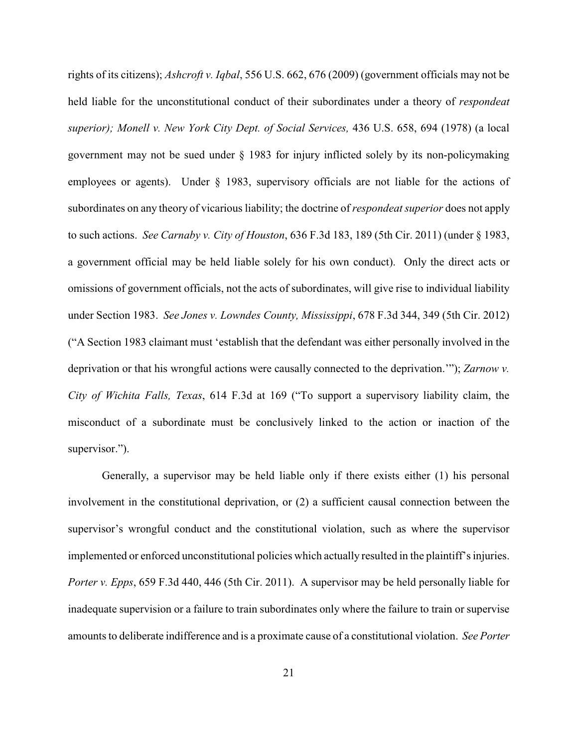rights of its citizens); *Ashcroft v. Iqbal*, 556 U.S. 662, 676 (2009) (government officials may not be held liable for the unconstitutional conduct of their subordinates under a theory of *respondeat superior); Monell v. New York City Dept. of Social Services,* 436 U.S. 658, 694 (1978) (a local government may not be sued under § 1983 for injury inflicted solely by its non-policymaking employees or agents). Under § 1983, supervisory officials are not liable for the actions of subordinates on any theory of vicarious liability; the doctrine of *respondeat superior* does not apply to such actions. *See Carnaby v. City of Houston*, 636 F.3d 183, 189 (5th Cir. 2011) (under § 1983, a government official may be held liable solely for his own conduct). Only the direct acts or omissions of government officials, not the acts of subordinates, will give rise to individual liability under Section 1983. *See Jones v. Lowndes County, Mississippi*, 678 F.3d 344, 349 (5th Cir. 2012) ("A Section 1983 claimant must 'establish that the defendant was either personally involved in the deprivation or that his wrongful actions were causally connected to the deprivation.'"); *Zarnow v. City of Wichita Falls, Texas*, 614 F.3d at 169 ("To support a supervisory liability claim, the misconduct of a subordinate must be conclusively linked to the action or inaction of the supervisor.").

Generally, a supervisor may be held liable only if there exists either (1) his personal involvement in the constitutional deprivation, or (2) a sufficient causal connection between the supervisor's wrongful conduct and the constitutional violation, such as where the supervisor implemented or enforced unconstitutional policies which actually resulted in the plaintiff's injuries. *Porter v. Epps*, 659 F.3d 440, 446 (5th Cir. 2011). A supervisor may be held personally liable for inadequate supervision or a failure to train subordinates only where the failure to train or supervise amounts to deliberate indifference and is a proximate cause of a constitutional violation. *See Porter*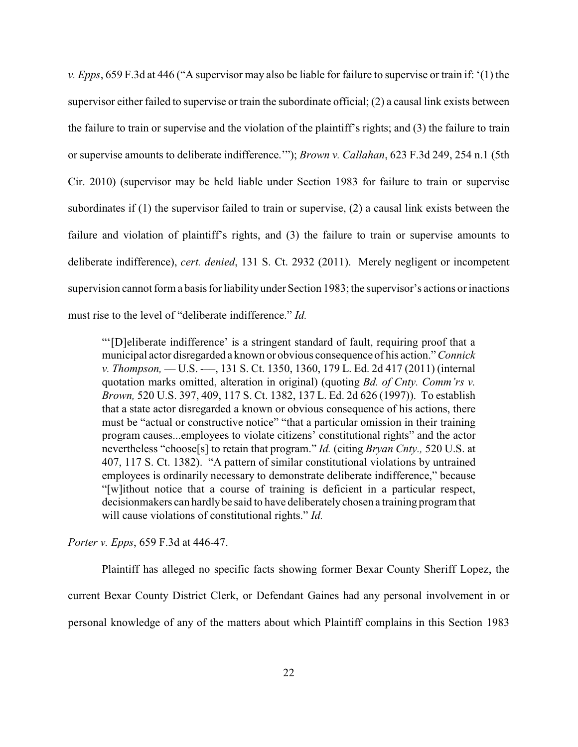*v. Epps*, 659 F.3d at 446 ("A supervisor may also be liable for failure to supervise or train if: '(1) the supervisor either failed to supervise or train the subordinate official; (2) a causal link exists between the failure to train or supervise and the violation of the plaintiff's rights; and (3) the failure to train or supervise amounts to deliberate indifference.'"); *Brown v. Callahan*, 623 F.3d 249, 254 n.1 (5th Cir. 2010) (supervisor may be held liable under Section 1983 for failure to train or supervise subordinates if (1) the supervisor failed to train or supervise, (2) a causal link exists between the failure and violation of plaintiff's rights, and (3) the failure to train or supervise amounts to deliberate indifference), *cert. denied*, 131 S. Ct. 2932 (2011). Merely negligent or incompetent supervision cannot form a basis for liability under Section 1983; the supervisor's actions or inactions must rise to the level of "deliberate indifference." *Id.*

"'[D]eliberate indifference' is a stringent standard of fault, requiring proof that a municipal actor disregarded a known or obvious consequence of his action." *Connick v. Thompson,* –– U.S. -––, 131 S. Ct. 1350, 1360, 179 L. Ed. 2d 417 (2011) (internal quotation marks omitted, alteration in original) (quoting *Bd. of Cnty. Comm'rs v. Brown,* 520 U.S. 397, 409, 117 S. Ct. 1382, 137 L. Ed. 2d 626 (1997)). To establish that a state actor disregarded a known or obvious consequence of his actions, there must be "actual or constructive notice" "that a particular omission in their training program causes...employees to violate citizens' constitutional rights" and the actor nevertheless "choose[s] to retain that program." *Id.* (citing *Bryan Cnty.,* 520 U.S. at 407, 117 S. Ct. 1382). "A pattern of similar constitutional violations by untrained employees is ordinarily necessary to demonstrate deliberate indifference," because "[w]ithout notice that a course of training is deficient in a particular respect, decisionmakers can hardlybe said to have deliberatelychosen a training program that will cause violations of constitutional rights." *Id.*

*Porter v. Epps*, 659 F.3d at 446-47.

Plaintiff has alleged no specific facts showing former Bexar County Sheriff Lopez, the current Bexar County District Clerk, or Defendant Gaines had any personal involvement in or personal knowledge of any of the matters about which Plaintiff complains in this Section 1983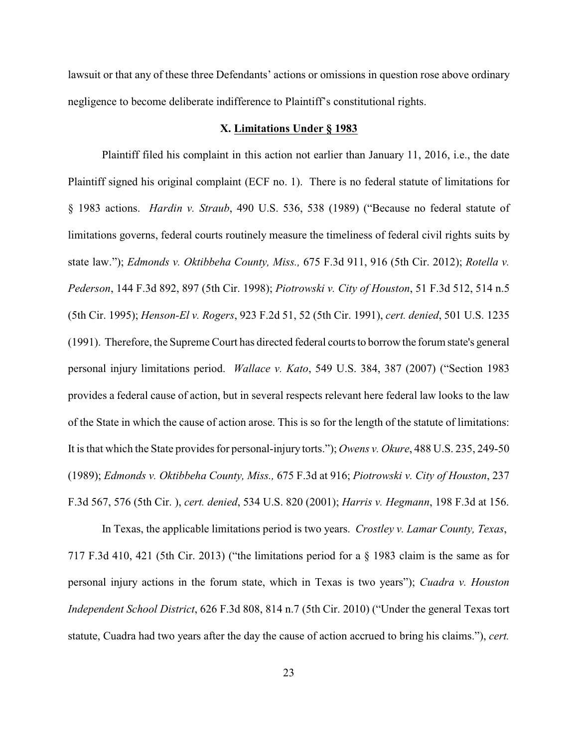lawsuit or that any of these three Defendants' actions or omissions in question rose above ordinary negligence to become deliberate indifference to Plaintiff's constitutional rights.

## **X. Limitations Under § 1983**

Plaintiff filed his complaint in this action not earlier than January 11, 2016, i.e., the date Plaintiff signed his original complaint (ECF no. 1). There is no federal statute of limitations for § 1983 actions. *Hardin v. Straub*, 490 U.S. 536, 538 (1989) ("Because no federal statute of limitations governs, federal courts routinely measure the timeliness of federal civil rights suits by state law."); *Edmonds v. Oktibbeha County, Miss.,* 675 F.3d 911, 916 (5th Cir. 2012); *Rotella v. Pederson*, 144 F.3d 892, 897 (5th Cir. 1998); *Piotrowski v. City of Houston*, 51 F.3d 512, 514 n.5 (5th Cir. 1995); *Henson-El v. Rogers*, 923 F.2d 51, 52 (5th Cir. 1991), *cert. denied*, 501 U.S. 1235 (1991). Therefore, the Supreme Court has directed federal courts to borrow the forum state's general personal injury limitations period. *Wallace v. Kato*, 549 U.S. 384, 387 (2007) ("Section 1983 provides a federal cause of action, but in several respects relevant here federal law looks to the law of the State in which the cause of action arose. This is so for the length of the statute of limitations: It is that which the State provides for personal-injury torts."); *Owens v. Okure*, 488 U.S. 235, 249-50 (1989); *Edmonds v. Oktibbeha County, Miss.,* 675 F.3d at 916; *Piotrowski v. City of Houston*, 237 F.3d 567, 576 (5th Cir. ), *cert. denied*, 534 U.S. 820 (2001); *Harris v. Hegmann*, 198 F.3d at 156.

In Texas, the applicable limitations period is two years. *Crostley v. Lamar County, Texas*, 717 F.3d 410, 421 (5th Cir. 2013) ("the limitations period for a § 1983 claim is the same as for personal injury actions in the forum state, which in Texas is two years"); *Cuadra v. Houston Independent School District*, 626 F.3d 808, 814 n.7 (5th Cir. 2010) ("Under the general Texas tort statute, Cuadra had two years after the day the cause of action accrued to bring his claims."), *cert.*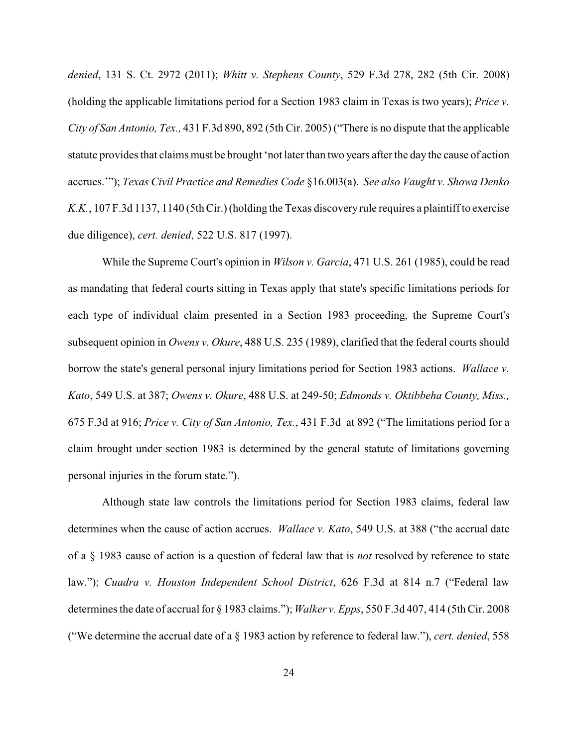*denied*, 131 S. Ct. 2972 (2011); *Whitt v. Stephens County*, 529 F.3d 278, 282 (5th Cir. 2008) (holding the applicable limitations period for a Section 1983 claim in Texas is two years); *Price v. City of San Antonio, Tex.,* 431 F.3d 890, 892 (5th Cir. 2005) ("There is no dispute that the applicable statute provides that claims must be brought 'not later than two years after the day the cause of action accrues.'"); *Texas Civil Practice and Remedies Code* §16.003(a). *See also Vaught v. Showa Denko K.K.*, 107 F.3d 1137, 1140 (5th Cir.) (holding the Texas discoveryrule requires a plaintiff to exercise due diligence), *cert. denied*, 522 U.S. 817 (1997).

While the Supreme Court's opinion in *Wilson v. Garcia*, 471 U.S. 261 (1985), could be read as mandating that federal courts sitting in Texas apply that state's specific limitations periods for each type of individual claim presented in a Section 1983 proceeding, the Supreme Court's subsequent opinion in *Owens v. Okure*, 488 U.S. 235 (1989), clarified that the federal courts should borrow the state's general personal injury limitations period for Section 1983 actions. *Wallace v. Kato*, 549 U.S. at 387; *Owens v. Okure*, 488 U.S. at 249-50; *Edmonds v. Oktibbeha County, Miss.,* 675 F.3d at 916; *Price v. City of San Antonio, Tex.*, 431 F.3d at 892 ("The limitations period for a claim brought under section 1983 is determined by the general statute of limitations governing personal injuries in the forum state.").

Although state law controls the limitations period for Section 1983 claims, federal law determines when the cause of action accrues. *Wallace v. Kato*, 549 U.S. at 388 ("the accrual date of a § 1983 cause of action is a question of federal law that is *not* resolved by reference to state law."); *Cuadra v. Houston Independent School District*, 626 F.3d at 814 n.7 ("Federal law determines the date of accrual for § 1983 claims."); *Walker v. Epps*, 550 F.3d 407, 414 (5th Cir. 2008 ("We determine the accrual date of a § 1983 action by reference to federal law."), *cert. denied*, 558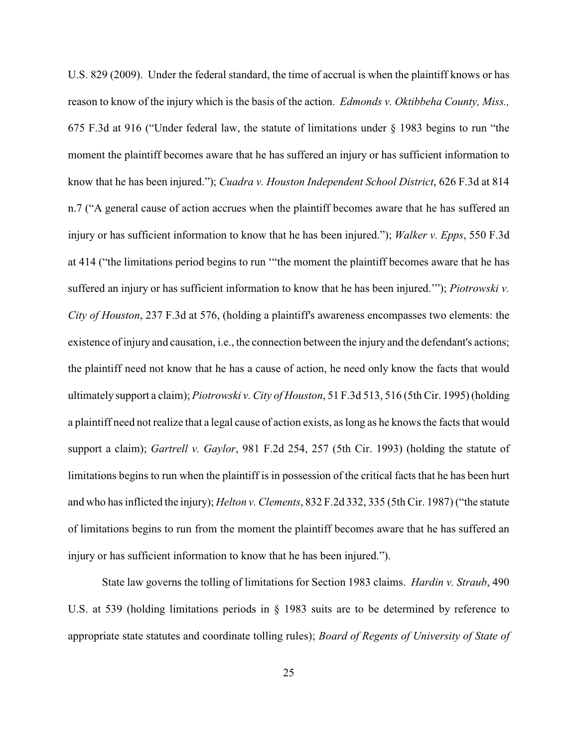U.S. 829 (2009). Under the federal standard, the time of accrual is when the plaintiff knows or has reason to know of the injury which is the basis of the action. *Edmonds v. Oktibbeha County, Miss.,* 675 F.3d at 916 ("Under federal law, the statute of limitations under § 1983 begins to run "the moment the plaintiff becomes aware that he has suffered an injury or has sufficient information to know that he has been injured."); *Cuadra v. Houston Independent School District*, 626 F.3d at 814 n.7 ("A general cause of action accrues when the plaintiff becomes aware that he has suffered an injury or has sufficient information to know that he has been injured."); *Walker v. Epps*, 550 F.3d at 414 ("the limitations period begins to run '"the moment the plaintiff becomes aware that he has suffered an injury or has sufficient information to know that he has been injured.'"); *Piotrowski v. City of Houston*, 237 F.3d at 576, (holding a plaintiff's awareness encompasses two elements: the existence of injury and causation, i.e., the connection between the injury and the defendant's actions; the plaintiff need not know that he has a cause of action, he need only know the facts that would ultimately support a claim); *Piotrowski v. City of Houston*, 51 F.3d 513, 516 (5th Cir. 1995) (holding a plaintiff need not realize that a legal cause of action exists, as long as he knows the facts that would support a claim); *Gartrell v. Gaylor*, 981 F.2d 254, 257 (5th Cir. 1993) (holding the statute of limitations begins to run when the plaintiff is in possession of the critical facts that he has been hurt and who has inflicted the injury); *Helton v. Clements*, 832 F.2d 332, 335 (5th Cir. 1987) ("the statute of limitations begins to run from the moment the plaintiff becomes aware that he has suffered an injury or has sufficient information to know that he has been injured.").

State law governs the tolling of limitations for Section 1983 claims. *Hardin v. Straub*, 490 U.S. at 539 (holding limitations periods in § 1983 suits are to be determined by reference to appropriate state statutes and coordinate tolling rules); *Board of Regents of University of State of*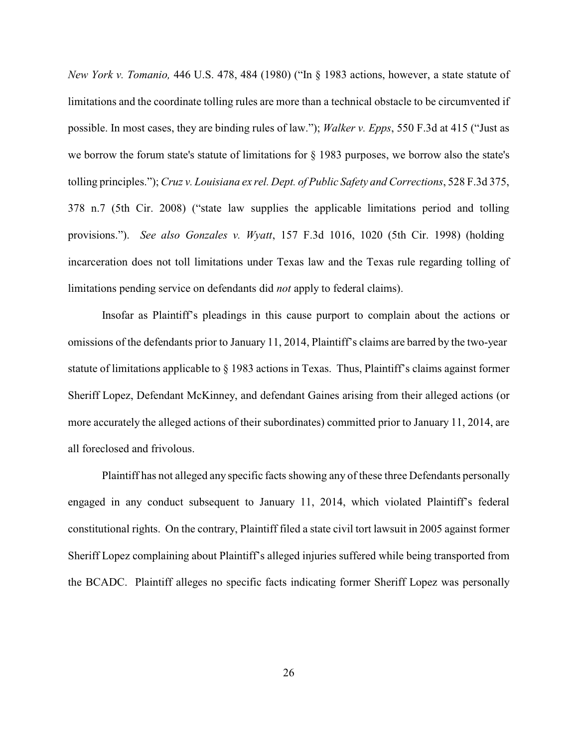*New York v. Tomanio,* 446 U.S. 478, 484 (1980) ("In § 1983 actions, however, a state statute of limitations and the coordinate tolling rules are more than a technical obstacle to be circumvented if possible. In most cases, they are binding rules of law."); *Walker v. Epps*, 550 F.3d at 415 ("Just as we borrow the forum state's statute of limitations for § 1983 purposes, we borrow also the state's tolling principles."); *Cruz v. Louisiana ex rel. Dept. of Public Safety and Corrections*, 528 F.3d 375, 378 n.7 (5th Cir. 2008) ("state law supplies the applicable limitations period and tolling provisions."). *See also Gonzales v. Wyatt*, 157 F.3d 1016, 1020 (5th Cir. 1998) (holding incarceration does not toll limitations under Texas law and the Texas rule regarding tolling of limitations pending service on defendants did *not* apply to federal claims).

Insofar as Plaintiff's pleadings in this cause purport to complain about the actions or omissions of the defendants prior to January 11, 2014, Plaintiff's claims are barred by the two-year statute of limitations applicable to § 1983 actions in Texas. Thus, Plaintiff's claims against former Sheriff Lopez, Defendant McKinney, and defendant Gaines arising from their alleged actions (or more accurately the alleged actions of their subordinates) committed prior to January 11, 2014, are all foreclosed and frivolous.

Plaintiff has not alleged any specific facts showing any of these three Defendants personally engaged in any conduct subsequent to January 11, 2014, which violated Plaintiff's federal constitutional rights. On the contrary, Plaintiff filed a state civil tort lawsuit in 2005 against former Sheriff Lopez complaining about Plaintiff's alleged injuries suffered while being transported from the BCADC. Plaintiff alleges no specific facts indicating former Sheriff Lopez was personally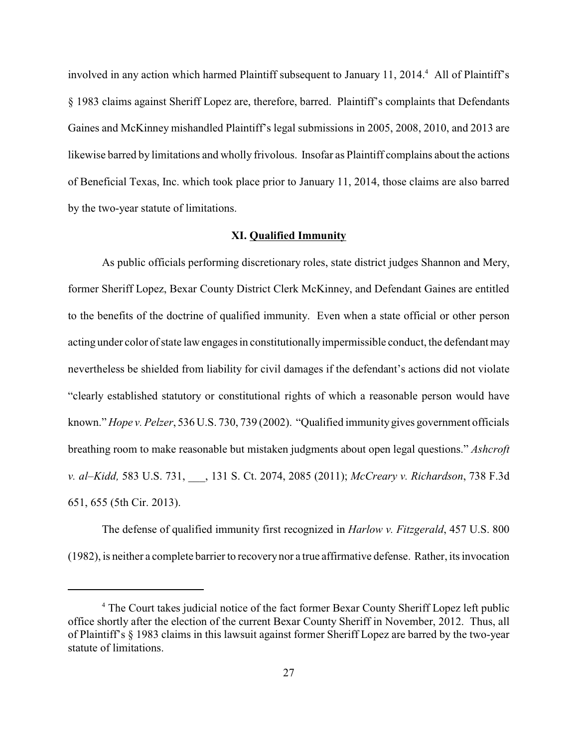involved in any action which harmed Plaintiff subsequent to January 11, 2014.<sup>4</sup> All of Plaintiff's § 1983 claims against Sheriff Lopez are, therefore, barred. Plaintiff's complaints that Defendants Gaines and McKinney mishandled Plaintiff's legal submissions in 2005, 2008, 2010, and 2013 are likewise barred by limitations and wholly frivolous. Insofar as Plaintiff complains about the actions of Beneficial Texas, Inc. which took place prior to January 11, 2014, those claims are also barred by the two-year statute of limitations.

# **XI. Qualified Immunity**

As public officials performing discretionary roles, state district judges Shannon and Mery, former Sheriff Lopez, Bexar County District Clerk McKinney, and Defendant Gaines are entitled to the benefits of the doctrine of qualified immunity. Even when a state official or other person acting under color of state law engages in constitutionally impermissible conduct, the defendant may nevertheless be shielded from liability for civil damages if the defendant's actions did not violate "clearly established statutory or constitutional rights of which a reasonable person would have known." *Hope v. Pelzer*, 536 U.S. 730, 739 (2002). "Qualified immunity gives government officials breathing room to make reasonable but mistaken judgments about open legal questions." *Ashcroft v. al–Kidd,* 583 U.S. 731, \_\_\_, 131 S. Ct. 2074, 2085 (2011); *McCreary v. Richardson*, 738 F.3d 651, 655 (5th Cir. 2013).

The defense of qualified immunity first recognized in *Harlow v. Fitzgerald*, 457 U.S. 800 (1982), is neither a complete barrier to recoverynor a true affirmative defense. Rather, its invocation

<sup>&</sup>lt;sup>4</sup> The Court takes judicial notice of the fact former Bexar County Sheriff Lopez left public office shortly after the election of the current Bexar County Sheriff in November, 2012. Thus, all of Plaintiff's § 1983 claims in this lawsuit against former Sheriff Lopez are barred by the two-year statute of limitations.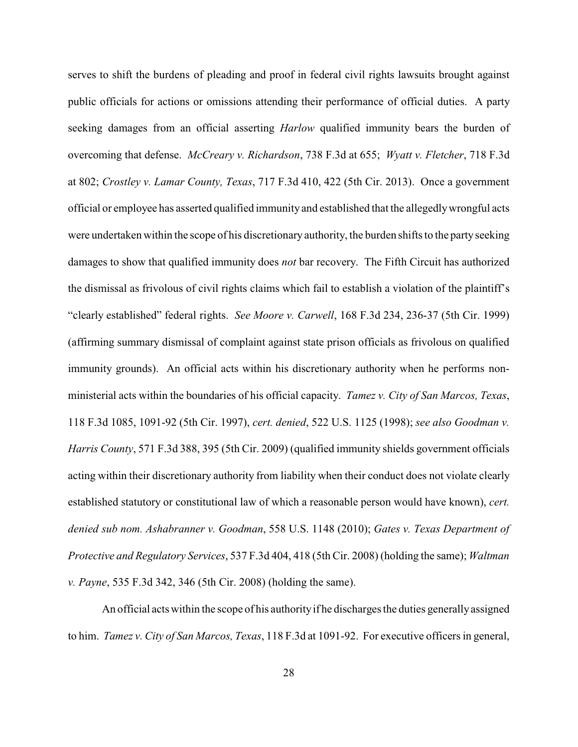serves to shift the burdens of pleading and proof in federal civil rights lawsuits brought against public officials for actions or omissions attending their performance of official duties. A party seeking damages from an official asserting *Harlow* qualified immunity bears the burden of overcoming that defense. *McCreary v. Richardson*, 738 F.3d at 655; *Wyatt v. Fletcher*, 718 F.3d at 802; *Crostley v. Lamar County, Texas*, 717 F.3d 410, 422 (5th Cir. 2013). Once a government official or employee has asserted qualified immunity and established that the allegedlywrongful acts were undertaken within the scope of his discretionary authority, the burden shifts to the party seeking damages to show that qualified immunity does *not* bar recovery. The Fifth Circuit has authorized the dismissal as frivolous of civil rights claims which fail to establish a violation of the plaintiff's "clearly established" federal rights. *See Moore v. Carwell*, 168 F.3d 234, 236-37 (5th Cir. 1999) (affirming summary dismissal of complaint against state prison officials as frivolous on qualified immunity grounds). An official acts within his discretionary authority when he performs nonministerial acts within the boundaries of his official capacity. *Tamez v. City of San Marcos, Texas*, 118 F.3d 1085, 1091-92 (5th Cir. 1997), *cert. denied*, 522 U.S. 1125 (1998); *see also Goodman v. Harris County*, 571 F.3d 388, 395 (5th Cir. 2009) (qualified immunity shields government officials acting within their discretionary authority from liability when their conduct does not violate clearly established statutory or constitutional law of which a reasonable person would have known), *cert. denied sub nom. Ashabranner v. Goodman*, 558 U.S. 1148 (2010); *Gates v. Texas Department of Protective and Regulatory Services*, 537 F.3d 404, 418 (5th Cir. 2008) (holding the same); *Waltman v. Payne*, 535 F.3d 342, 346 (5th Cir. 2008) (holding the same).

An official acts within the scope of his authorityif he discharges the duties generallyassigned to him. *Tamez v. City of San Marcos, Texas*, 118 F.3d at 1091-92. For executive officers in general,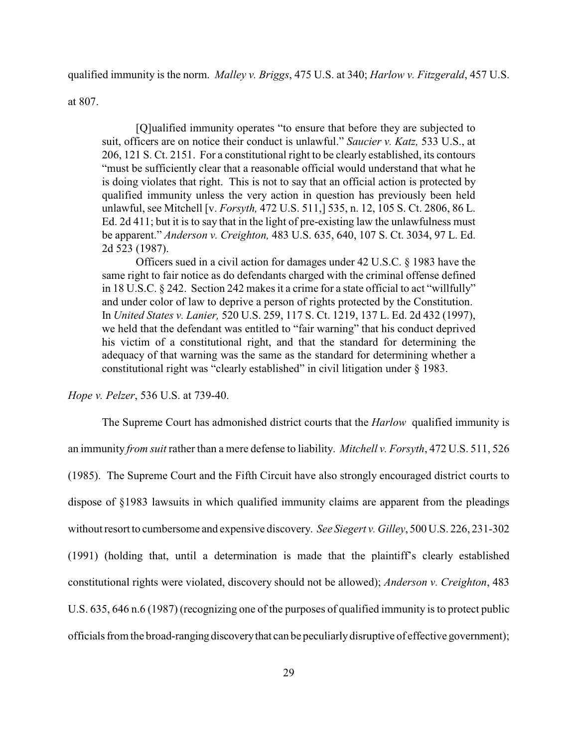qualified immunity is the norm. *Malley v. Briggs*, 475 U.S. at 340; *Harlow v. Fitzgerald*, 457 U.S.

at 807.

[Q]ualified immunity operates "to ensure that before they are subjected to suit, officers are on notice their conduct is unlawful." *Saucier v. Katz,* 533 U.S., at 206, 121 S. Ct. 2151. For a constitutional right to be clearly established, its contours "must be sufficiently clear that a reasonable official would understand that what he is doing violates that right. This is not to say that an official action is protected by qualified immunity unless the very action in question has previously been held unlawful, see Mitchell [v. *Forsyth,* 472 U.S. 511,] 535, n. 12, 105 S. Ct. 2806, 86 L. Ed. 2d 411; but it is to say that in the light of pre-existing law the unlawfulness must be apparent." *Anderson v. Creighton,* 483 U.S. 635, 640, 107 S. Ct. 3034, 97 L. Ed. 2d 523 (1987).

Officers sued in a civil action for damages under 42 U.S.C. § 1983 have the same right to fair notice as do defendants charged with the criminal offense defined in 18 U.S.C. § 242. Section 242 makes it a crime for a state official to act "willfully" and under color of law to deprive a person of rights protected by the Constitution. In *United States v. Lanier,* 520 U.S. 259, 117 S. Ct. 1219, 137 L. Ed. 2d 432 (1997), we held that the defendant was entitled to "fair warning" that his conduct deprived his victim of a constitutional right, and that the standard for determining the adequacy of that warning was the same as the standard for determining whether a constitutional right was "clearly established" in civil litigation under § 1983.

*Hope v. Pelzer*, 536 U.S. at 739-40.

The Supreme Court has admonished district courts that the *Harlow* qualified immunity is an immunity *from suit* rather than a mere defense to liability. *Mitchell v. Forsyth*, 472 U.S. 511, 526 (1985). The Supreme Court and the Fifth Circuit have also strongly encouraged district courts to dispose of §1983 lawsuits in which qualified immunity claims are apparent from the pleadings without resort to cumbersome and expensive discovery. *See Siegert v. Gilley*, 500 U.S. 226, 231-302 (1991) (holding that, until a determination is made that the plaintiff's clearly established constitutional rights were violated, discovery should not be allowed); *Anderson v. Creighton*, 483 U.S. 635, 646 n.6 (1987) (recognizing one of the purposes of qualified immunity is to protect public officials from the broad-ranging discoverythat can be peculiarlydisruptive of effective government);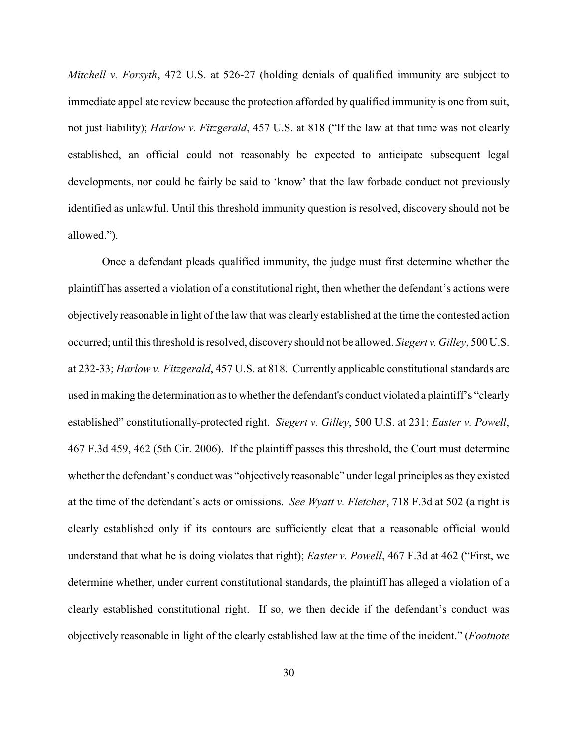*Mitchell v. Forsyth*, 472 U.S. at 526-27 (holding denials of qualified immunity are subject to immediate appellate review because the protection afforded by qualified immunity is one from suit, not just liability); *Harlow v. Fitzgerald*, 457 U.S. at 818 ("If the law at that time was not clearly established, an official could not reasonably be expected to anticipate subsequent legal developments, nor could he fairly be said to 'know' that the law forbade conduct not previously identified as unlawful. Until this threshold immunity question is resolved, discovery should not be allowed.").

Once a defendant pleads qualified immunity, the judge must first determine whether the plaintiff has asserted a violation of a constitutional right, then whether the defendant's actions were objectively reasonable in light of the law that was clearly established at the time the contested action occurred; until this threshold is resolved, discoveryshould not be allowed. *Siegert v. Gilley*, 500 U.S. at 232-33; *Harlow v. Fitzgerald*, 457 U.S. at 818. Currently applicable constitutional standards are used in making the determination as to whether the defendant's conduct violated a plaintiff's "clearly" established" constitutionally-protected right. *Siegert v. Gilley*, 500 U.S. at 231; *Easter v. Powell*, 467 F.3d 459, 462 (5th Cir. 2006). If the plaintiff passes this threshold, the Court must determine whether the defendant's conduct was "objectively reasonable" under legal principles as they existed at the time of the defendant's acts or omissions. *See Wyatt v. Fletcher*, 718 F.3d at 502 (a right is clearly established only if its contours are sufficiently cleat that a reasonable official would understand that what he is doing violates that right); *Easter v. Powell*, 467 F.3d at 462 ("First, we determine whether, under current constitutional standards, the plaintiff has alleged a violation of a clearly established constitutional right. If so, we then decide if the defendant's conduct was objectively reasonable in light of the clearly established law at the time of the incident." (*Footnote*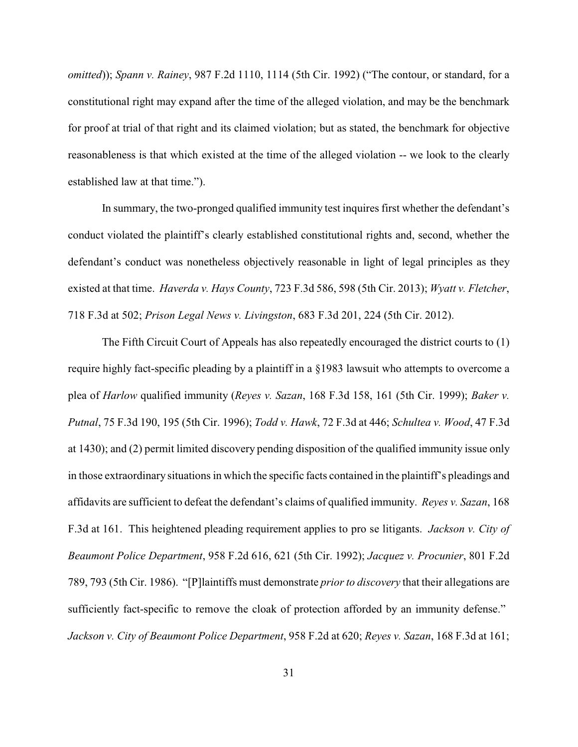*omitted*)); *Spann v. Rainey*, 987 F.2d 1110, 1114 (5th Cir. 1992) ("The contour, or standard, for a constitutional right may expand after the time of the alleged violation, and may be the benchmark for proof at trial of that right and its claimed violation; but as stated, the benchmark for objective reasonableness is that which existed at the time of the alleged violation -- we look to the clearly established law at that time.").

In summary, the two-pronged qualified immunity test inquires first whether the defendant's conduct violated the plaintiff's clearly established constitutional rights and, second, whether the defendant's conduct was nonetheless objectively reasonable in light of legal principles as they existed at that time. *Haverda v. Hays County*, 723 F.3d 586, 598 (5th Cir. 2013); *Wyatt v. Fletcher*, 718 F.3d at 502; *Prison Legal News v. Livingston*, 683 F.3d 201, 224 (5th Cir. 2012).

The Fifth Circuit Court of Appeals has also repeatedly encouraged the district courts to (1) require highly fact-specific pleading by a plaintiff in a §1983 lawsuit who attempts to overcome a plea of *Harlow* qualified immunity (*Reyes v. Sazan*, 168 F.3d 158, 161 (5th Cir. 1999); *Baker v. Putnal*, 75 F.3d 190, 195 (5th Cir. 1996); *Todd v. Hawk*, 72 F.3d at 446; *Schultea v. Wood*, 47 F.3d at 1430); and (2) permit limited discovery pending disposition of the qualified immunity issue only in those extraordinary situations in which the specific facts contained in the plaintiff's pleadings and affidavits are sufficient to defeat the defendant's claims of qualified immunity. *Reyes v. Sazan*, 168 F.3d at 161. This heightened pleading requirement applies to pro se litigants. *Jackson v. City of Beaumont Police Department*, 958 F.2d 616, 621 (5th Cir. 1992); *Jacquez v. Procunier*, 801 F.2d 789, 793 (5th Cir. 1986). "[P]laintiffs must demonstrate *prior to discovery* that their allegations are sufficiently fact-specific to remove the cloak of protection afforded by an immunity defense." *Jackson v. City of Beaumont Police Department*, 958 F.2d at 620; *Reyes v. Sazan*, 168 F.3d at 161;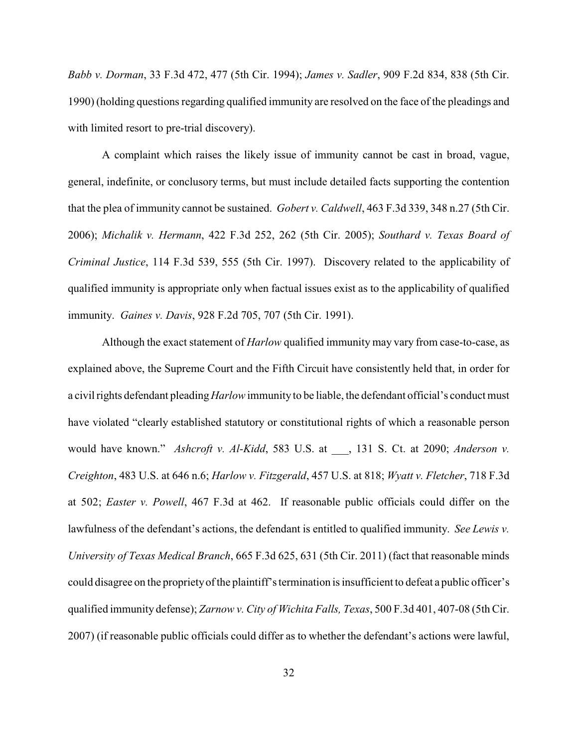*Babb v. Dorman*, 33 F.3d 472, 477 (5th Cir. 1994); *James v. Sadler*, 909 F.2d 834, 838 (5th Cir. 1990) (holding questions regarding qualified immunity are resolved on the face of the pleadings and with limited resort to pre-trial discovery).

A complaint which raises the likely issue of immunity cannot be cast in broad, vague, general, indefinite, or conclusory terms, but must include detailed facts supporting the contention that the plea of immunity cannot be sustained. *Gobert v. Caldwell*, 463 F.3d 339, 348 n.27 (5th Cir. 2006); *Michalik v. Hermann*, 422 F.3d 252, 262 (5th Cir. 2005); *Southard v. Texas Board of Criminal Justice*, 114 F.3d 539, 555 (5th Cir. 1997). Discovery related to the applicability of qualified immunity is appropriate only when factual issues exist as to the applicability of qualified immunity. *Gaines v. Davis*, 928 F.2d 705, 707 (5th Cir. 1991).

Although the exact statement of *Harlow* qualified immunity may vary from case-to-case, as explained above, the Supreme Court and the Fifth Circuit have consistently held that, in order for a civil rights defendant pleading*Harlow*immunity to be liable, the defendant official's conduct must have violated "clearly established statutory or constitutional rights of which a reasonable person would have known." *Ashcroft v. Al-Kidd*, 583 U.S. at \_\_\_, 131 S. Ct. at 2090; *Anderson v. Creighton*, 483 U.S. at 646 n.6; *Harlow v. Fitzgerald*, 457 U.S. at 818; *Wyatt v. Fletcher*, 718 F.3d at 502; *Easter v. Powell*, 467 F.3d at 462. If reasonable public officials could differ on the lawfulness of the defendant's actions, the defendant is entitled to qualified immunity. *See Lewis v. University of Texas Medical Branch*, 665 F.3d 625, 631 (5th Cir. 2011) (fact that reasonable minds could disagree on the proprietyof the plaintiff's termination is insufficient to defeat a public officer's qualified immunity defense); *Zarnow v. City of Wichita Falls, Texas*, 500 F.3d 401, 407-08 (5th Cir. 2007) (if reasonable public officials could differ as to whether the defendant's actions were lawful,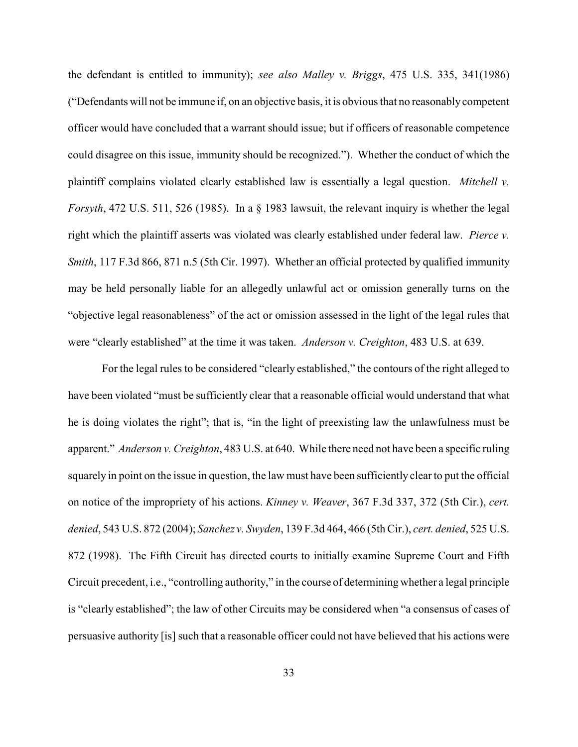the defendant is entitled to immunity); *see also Malley v. Briggs*, 475 U.S. 335, 341(1986) ("Defendants will not be immune if, on an objective basis, it is obvious that no reasonably competent officer would have concluded that a warrant should issue; but if officers of reasonable competence could disagree on this issue, immunity should be recognized."). Whether the conduct of which the plaintiff complains violated clearly established law is essentially a legal question. *Mitchell v. Forsyth*, 472 U.S. 511, 526 (1985). In a § 1983 lawsuit, the relevant inquiry is whether the legal right which the plaintiff asserts was violated was clearly established under federal law. *Pierce v. Smith*, 117 F.3d 866, 871 n.5 (5th Cir. 1997). Whether an official protected by qualified immunity may be held personally liable for an allegedly unlawful act or omission generally turns on the "objective legal reasonableness" of the act or omission assessed in the light of the legal rules that were "clearly established" at the time it was taken. *Anderson v. Creighton*, 483 U.S. at 639.

For the legal rules to be considered "clearly established," the contours of the right alleged to have been violated "must be sufficiently clear that a reasonable official would understand that what he is doing violates the right"; that is, "in the light of preexisting law the unlawfulness must be apparent." *Anderson v. Creighton*, 483 U.S. at 640. While there need not have been a specific ruling squarely in point on the issue in question, the law must have been sufficiently clear to put the official on notice of the impropriety of his actions. *Kinney v. Weaver*, 367 F.3d 337, 372 (5th Cir.), *cert. denied*, 543 U.S. 872 (2004); *Sanchez v. Swyden*, 139 F.3d 464, 466 (5th Cir.), *cert. denied*, 525 U.S. 872 (1998). The Fifth Circuit has directed courts to initially examine Supreme Court and Fifth Circuit precedent, i.e., "controlling authority," in the course of determining whether a legal principle is "clearly established"; the law of other Circuits may be considered when "a consensus of cases of persuasive authority [is] such that a reasonable officer could not have believed that his actions were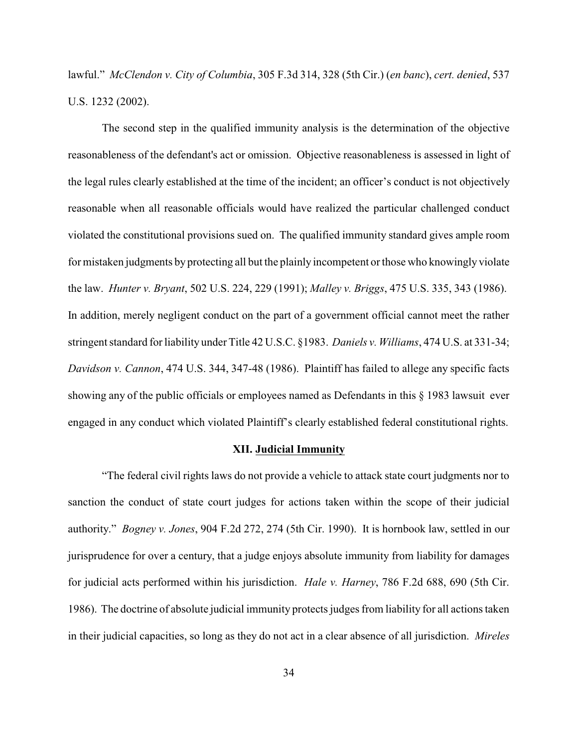lawful." *McClendon v. City of Columbia*, 305 F.3d 314, 328 (5th Cir.) (*en banc*), *cert. denied*, 537 U.S. 1232 (2002).

The second step in the qualified immunity analysis is the determination of the objective reasonableness of the defendant's act or omission. Objective reasonableness is assessed in light of the legal rules clearly established at the time of the incident; an officer's conduct is not objectively reasonable when all reasonable officials would have realized the particular challenged conduct violated the constitutional provisions sued on. The qualified immunity standard gives ample room for mistaken judgments by protecting all but the plainly incompetent or those who knowingly violate the law. *Hunter v. Bryant*, 502 U.S. 224, 229 (1991); *Malley v. Briggs*, 475 U.S. 335, 343 (1986). In addition, merely negligent conduct on the part of a government official cannot meet the rather stringent standard for liability under Title 42 U.S.C. §1983. *Daniels v. Williams*, 474 U.S. at 331-34; *Davidson v. Cannon*, 474 U.S. 344, 347-48 (1986). Plaintiff has failed to allege any specific facts showing any of the public officials or employees named as Defendants in this § 1983 lawsuit ever engaged in any conduct which violated Plaintiff's clearly established federal constitutional rights.

## **XII. Judicial Immunity**

"The federal civil rights laws do not provide a vehicle to attack state court judgments nor to sanction the conduct of state court judges for actions taken within the scope of their judicial authority." *Bogney v. Jones*, 904 F.2d 272, 274 (5th Cir. 1990). It is hornbook law, settled in our jurisprudence for over a century, that a judge enjoys absolute immunity from liability for damages for judicial acts performed within his jurisdiction. *Hale v. Harney*, 786 F.2d 688, 690 (5th Cir. 1986). The doctrine of absolute judicial immunity protects judges from liability for all actions taken in their judicial capacities, so long as they do not act in a clear absence of all jurisdiction. *Mireles*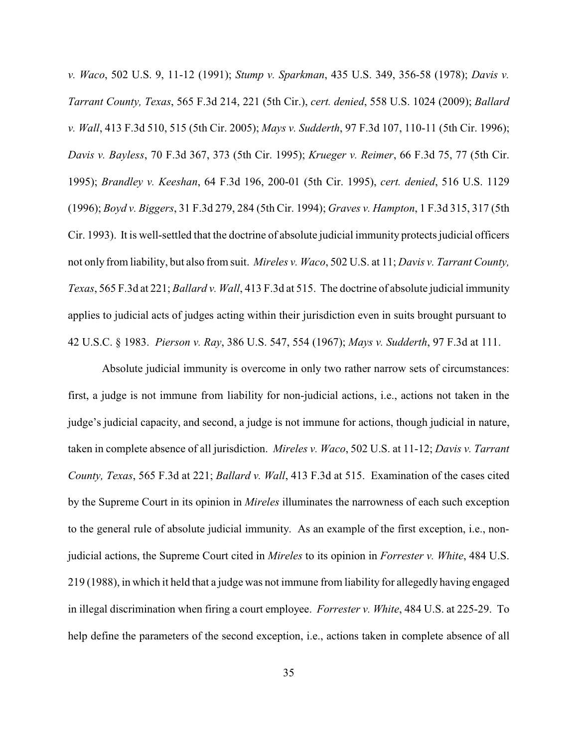*v. Waco*, 502 U.S. 9, 11-12 (1991); *Stump v. Sparkman*, 435 U.S. 349, 356-58 (1978); *Davis v. Tarrant County, Texas*, 565 F.3d 214, 221 (5th Cir.), *cert. denied*, 558 U.S. 1024 (2009); *Ballard v. Wall*, 413 F.3d 510, 515 (5th Cir. 2005); *Mays v. Sudderth*, 97 F.3d 107, 110-11 (5th Cir. 1996); *Davis v. Bayless*, 70 F.3d 367, 373 (5th Cir. 1995); *Krueger v. Reimer*, 66 F.3d 75, 77 (5th Cir. 1995); *Brandley v. Keeshan*, 64 F.3d 196, 200-01 (5th Cir. 1995), *cert. denied*, 516 U.S. 1129 (1996); *Boyd v. Biggers*, 31 F.3d 279, 284 (5th Cir. 1994); *Graves v. Hampton*, 1 F.3d 315, 317 (5th Cir. 1993). It is well-settled that the doctrine of absolute judicial immunity protects judicial officers not only from liability, but also from suit. *Mireles v. Waco*, 502 U.S. at 11; *Davis v. Tarrant County, Texas*, 565 F.3d at 221; *Ballard v. Wall*, 413 F.3d at 515. The doctrine of absolute judicial immunity applies to judicial acts of judges acting within their jurisdiction even in suits brought pursuant to 42 U.S.C. § 1983. *Pierson v. Ray*, 386 U.S. 547, 554 (1967); *Mays v. Sudderth*, 97 F.3d at 111.

Absolute judicial immunity is overcome in only two rather narrow sets of circumstances: first, a judge is not immune from liability for non-judicial actions, i.e., actions not taken in the judge's judicial capacity, and second, a judge is not immune for actions, though judicial in nature, taken in complete absence of all jurisdiction. *Mireles v. Waco*, 502 U.S. at 11-12; *Davis v. Tarrant County, Texas*, 565 F.3d at 221; *Ballard v. Wall*, 413 F.3d at 515. Examination of the cases cited by the Supreme Court in its opinion in *Mireles* illuminates the narrowness of each such exception to the general rule of absolute judicial immunity. As an example of the first exception, i.e., nonjudicial actions, the Supreme Court cited in *Mireles* to its opinion in *Forrester v. White*, 484 U.S. 219 (1988), in which it held that a judge was not immune from liability for allegedly having engaged in illegal discrimination when firing a court employee. *Forrester v. White*, 484 U.S. at 225-29. To help define the parameters of the second exception, i.e., actions taken in complete absence of all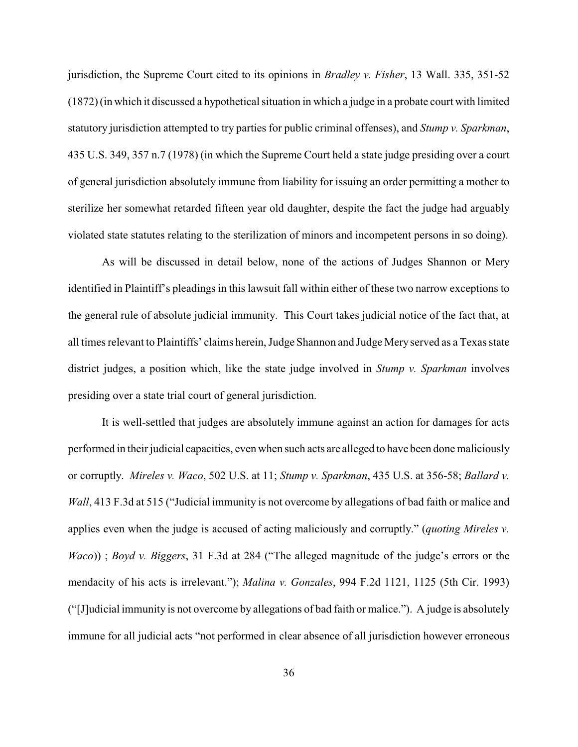jurisdiction, the Supreme Court cited to its opinions in *Bradley v. Fisher*, 13 Wall. 335, 351-52 (1872) (in which it discussed a hypothetical situation in which a judge in a probate court with limited statutory jurisdiction attempted to try parties for public criminal offenses), and *Stump v. Sparkman*, 435 U.S. 349, 357 n.7 (1978) (in which the Supreme Court held a state judge presiding over a court of general jurisdiction absolutely immune from liability for issuing an order permitting a mother to sterilize her somewhat retarded fifteen year old daughter, despite the fact the judge had arguably violated state statutes relating to the sterilization of minors and incompetent persons in so doing).

As will be discussed in detail below, none of the actions of Judges Shannon or Mery identified in Plaintiff's pleadings in this lawsuit fall within either of these two narrow exceptions to the general rule of absolute judicial immunity. This Court takes judicial notice of the fact that, at all times relevant to Plaintiffs' claims herein, Judge Shannon and Judge Mery served as a Texas state district judges, a position which, like the state judge involved in *Stump v. Sparkman* involves presiding over a state trial court of general jurisdiction.

It is well-settled that judges are absolutely immune against an action for damages for acts performed in their judicial capacities, even when such acts are alleged to have been done maliciously or corruptly. *Mireles v. Waco*, 502 U.S. at 11; *Stump v. Sparkman*, 435 U.S. at 356-58; *Ballard v. Wall*, 413 F.3d at 515 ("Judicial immunity is not overcome by allegations of bad faith or malice and applies even when the judge is accused of acting maliciously and corruptly." (*quoting Mireles v. Waco*)) ; *Boyd v. Biggers*, 31 F.3d at 284 ("The alleged magnitude of the judge's errors or the mendacity of his acts is irrelevant."); *Malina v. Gonzales*, 994 F.2d 1121, 1125 (5th Cir. 1993) ("[J]udicial immunity is not overcome by allegations of bad faith or malice."). A judge is absolutely immune for all judicial acts "not performed in clear absence of all jurisdiction however erroneous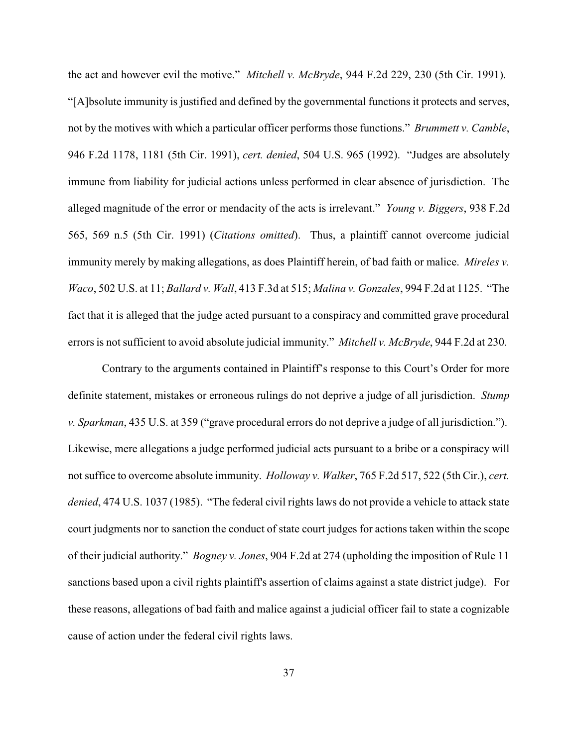the act and however evil the motive." *Mitchell v. McBryde*, 944 F.2d 229, 230 (5th Cir. 1991). "[A]bsolute immunity is justified and defined by the governmental functions it protects and serves, not by the motives with which a particular officer performs those functions." *Brummett v. Camble*, 946 F.2d 1178, 1181 (5th Cir. 1991), *cert. denied*, 504 U.S. 965 (1992). "Judges are absolutely immune from liability for judicial actions unless performed in clear absence of jurisdiction. The alleged magnitude of the error or mendacity of the acts is irrelevant." *Young v. Biggers*, 938 F.2d 565, 569 n.5 (5th Cir. 1991) (*Citations omitted*). Thus, a plaintiff cannot overcome judicial immunity merely by making allegations, as does Plaintiff herein, of bad faith or malice. *Mireles v. Waco*, 502 U.S. at 11; *Ballard v. Wall*, 413 F.3d at 515; *Malina v. Gonzales*, 994 F.2d at 1125. "The fact that it is alleged that the judge acted pursuant to a conspiracy and committed grave procedural errors is not sufficient to avoid absolute judicial immunity." *Mitchell v. McBryde*, 944 F.2d at 230.

Contrary to the arguments contained in Plaintiff's response to this Court's Order for more definite statement, mistakes or erroneous rulings do not deprive a judge of all jurisdiction. *Stump v. Sparkman*, 435 U.S. at 359 ("grave procedural errors do not deprive a judge of all jurisdiction."). Likewise, mere allegations a judge performed judicial acts pursuant to a bribe or a conspiracy will not suffice to overcome absolute immunity. *Holloway v. Walker*, 765 F.2d 517, 522 (5th Cir.), *cert. denied*, 474 U.S. 1037 (1985). "The federal civil rights laws do not provide a vehicle to attack state court judgments nor to sanction the conduct of state court judges for actions taken within the scope of their judicial authority." *Bogney v. Jones*, 904 F.2d at 274 (upholding the imposition of Rule 11 sanctions based upon a civil rights plaintiff's assertion of claims against a state district judge). For these reasons, allegations of bad faith and malice against a judicial officer fail to state a cognizable cause of action under the federal civil rights laws.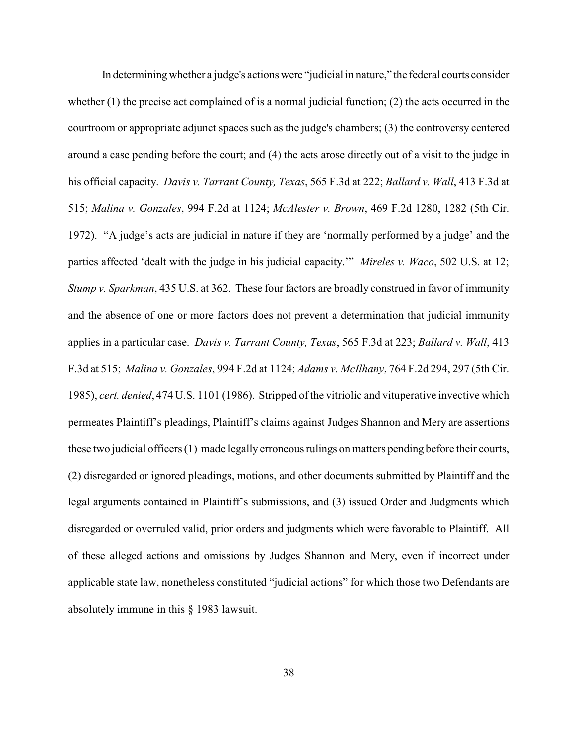In determining whether a judge's actions were "judicial in nature," the federal courts consider whether (1) the precise act complained of is a normal judicial function; (2) the acts occurred in the courtroom or appropriate adjunct spaces such as the judge's chambers; (3) the controversy centered around a case pending before the court; and (4) the acts arose directly out of a visit to the judge in his official capacity. *Davis v. Tarrant County, Texas*, 565 F.3d at 222; *Ballard v. Wall*, 413 F.3d at 515; *Malina v. Gonzales*, 994 F.2d at 1124; *McAlester v. Brown*, 469 F.2d 1280, 1282 (5th Cir. 1972). "A judge's acts are judicial in nature if they are 'normally performed by a judge' and the parties affected 'dealt with the judge in his judicial capacity.'" *Mireles v. Waco*, 502 U.S. at 12; *Stump v. Sparkman*, 435 U.S. at 362. These four factors are broadly construed in favor of immunity and the absence of one or more factors does not prevent a determination that judicial immunity applies in a particular case. *Davis v. Tarrant County, Texas*, 565 F.3d at 223; *Ballard v. Wall*, 413 F.3d at 515; *Malina v. Gonzales*, 994 F.2d at 1124; *Adams v. McIlhany*, 764 F.2d 294, 297 (5th Cir. 1985), *cert. denied*, 474 U.S. 1101 (1986). Stripped of the vitriolic and vituperative invective which permeates Plaintiff's pleadings, Plaintiff's claims against Judges Shannon and Mery are assertions these two judicial officers (1) made legally erroneous rulings on matters pending before their courts, (2) disregarded or ignored pleadings, motions, and other documents submitted by Plaintiff and the legal arguments contained in Plaintiff's submissions, and (3) issued Order and Judgments which disregarded or overruled valid, prior orders and judgments which were favorable to Plaintiff. All of these alleged actions and omissions by Judges Shannon and Mery, even if incorrect under applicable state law, nonetheless constituted "judicial actions" for which those two Defendants are absolutely immune in this § 1983 lawsuit.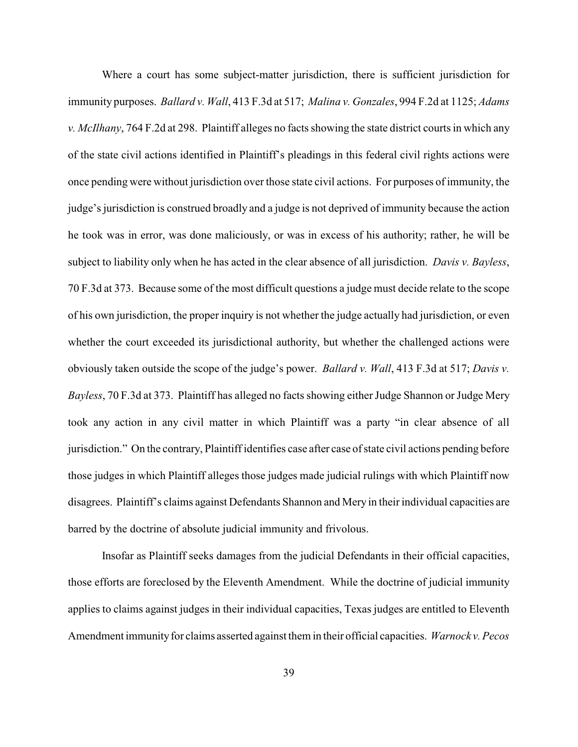Where a court has some subject-matter jurisdiction, there is sufficient jurisdiction for immunity purposes. *Ballard v. Wall*, 413 F.3d at 517; *Malina v. Gonzales*, 994 F.2d at 1125; *Adams v. McIlhany*, 764 F.2d at 298. Plaintiff alleges no facts showing the state district courts in which any of the state civil actions identified in Plaintiff's pleadings in this federal civil rights actions were once pending were without jurisdiction over those state civil actions. For purposes of immunity, the judge's jurisdiction is construed broadly and a judge is not deprived of immunity because the action he took was in error, was done maliciously, or was in excess of his authority; rather, he will be subject to liability only when he has acted in the clear absence of all jurisdiction. *Davis v. Bayless*, 70 F.3d at 373. Because some of the most difficult questions a judge must decide relate to the scope of his own jurisdiction, the proper inquiry is not whether the judge actually had jurisdiction, or even whether the court exceeded its jurisdictional authority, but whether the challenged actions were obviously taken outside the scope of the judge's power. *Ballard v. Wall*, 413 F.3d at 517; *Davis v. Bayless*, 70 F.3d at 373. Plaintiff has alleged no facts showing either Judge Shannon or Judge Mery took any action in any civil matter in which Plaintiff was a party "in clear absence of all jurisdiction." On the contrary, Plaintiff identifies case after case of state civil actions pending before those judges in which Plaintiff alleges those judges made judicial rulings with which Plaintiff now disagrees. Plaintiff's claims against Defendants Shannon and Mery in their individual capacities are barred by the doctrine of absolute judicial immunity and frivolous.

Insofar as Plaintiff seeks damages from the judicial Defendants in their official capacities, those efforts are foreclosed by the Eleventh Amendment. While the doctrine of judicial immunity applies to claims against judges in their individual capacities, Texas judges are entitled to Eleventh Amendment immunityfor claims asserted against them in their official capacities. *Warnock v. Pecos*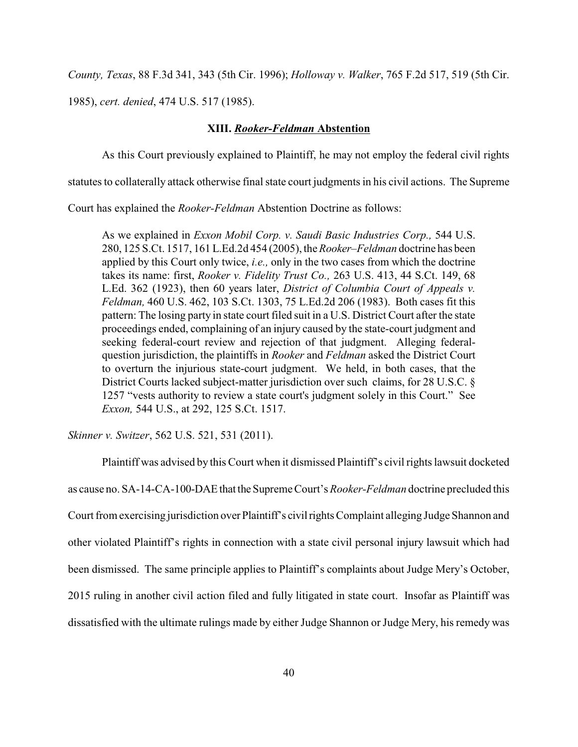*County, Texas*, 88 F.3d 341, 343 (5th Cir. 1996); *Holloway v. Walker*, 765 F.2d 517, 519 (5th Cir.

1985), *cert. denied*, 474 U.S. 517 (1985).

### **XIII.** *Rooker-Feldman* **Abstention**

As this Court previously explained to Plaintiff, he may not employ the federal civil rights

statutes to collaterally attack otherwise final state court judgments in his civil actions. The Supreme

Court has explained the *Rooker-Feldman* Abstention Doctrine as follows:

As we explained in *Exxon Mobil Corp. v. Saudi Basic Industries Corp.,* 544 U.S. 280, 125 S.Ct. 1517, 161 L.Ed.2d 454 (2005), the *Rooker–Feldman* doctrine has been applied by this Court only twice, *i.e.,* only in the two cases from which the doctrine takes its name: first, *Rooker v. Fidelity Trust Co.,* 263 U.S. 413, 44 S.Ct. 149, 68 L.Ed. 362 (1923), then 60 years later, *District of Columbia Court of Appeals v. Feldman,* 460 U.S. 462, 103 S.Ct. 1303, 75 L.Ed.2d 206 (1983). Both cases fit this pattern: The losing party in state court filed suit in a U.S. District Court after the state proceedings ended, complaining of an injury caused by the state-court judgment and seeking federal-court review and rejection of that judgment. Alleging federalquestion jurisdiction, the plaintiffs in *Rooker* and *Feldman* asked the District Court to overturn the injurious state-court judgment. We held, in both cases, that the District Courts lacked subject-matter jurisdiction over such claims, for 28 U.S.C. § 1257 "vests authority to review a state court's judgment solely in this Court." See *Exxon,* 544 U.S., at 292, 125 S.Ct. 1517.

*Skinner v. Switzer*, 562 U.S. 521, 531 (2011).

Plaintiff was advised by this Court when it dismissed Plaintiff's civil rights lawsuit docketed as cause no. SA-14-CA-100-DAEthat theSupremeCourt's *Rooker-Feldman* doctrine precluded this Court from exercising jurisdiction over Plaintiff's civil rights Complaint alleging Judge Shannon and other violated Plaintiff's rights in connection with a state civil personal injury lawsuit which had been dismissed. The same principle applies to Plaintiff's complaints about Judge Mery's October, 2015 ruling in another civil action filed and fully litigated in state court. Insofar as Plaintiff was dissatisfied with the ultimate rulings made by either Judge Shannon or Judge Mery, his remedy was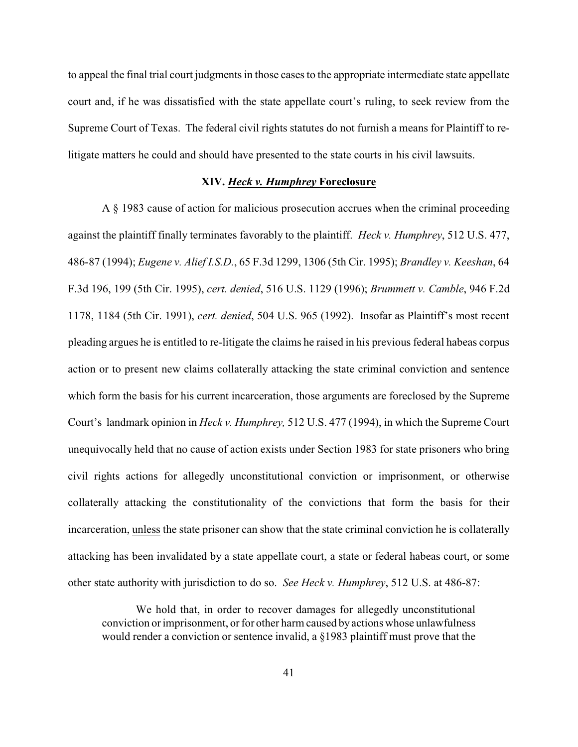to appeal the final trial court judgments in those cases to the appropriate intermediate state appellate court and, if he was dissatisfied with the state appellate court's ruling, to seek review from the Supreme Court of Texas. The federal civil rights statutes do not furnish a means for Plaintiff to relitigate matters he could and should have presented to the state courts in his civil lawsuits.

## **XIV.** *Heck v. Humphrey* **Foreclosure**

A § 1983 cause of action for malicious prosecution accrues when the criminal proceeding against the plaintiff finally terminates favorably to the plaintiff. *Heck v. Humphrey*, 512 U.S. 477, 486-87 (1994); *Eugene v. Alief I.S.D.*, 65 F.3d 1299, 1306 (5th Cir. 1995); *Brandley v. Keeshan*, 64 F.3d 196, 199 (5th Cir. 1995), *cert. denied*, 516 U.S. 1129 (1996); *Brummett v. Camble*, 946 F.2d 1178, 1184 (5th Cir. 1991), *cert. denied*, 504 U.S. 965 (1992). Insofar as Plaintiff's most recent pleading argues he is entitled to re-litigate the claims he raised in his previous federal habeas corpus action or to present new claims collaterally attacking the state criminal conviction and sentence which form the basis for his current incarceration, those arguments are foreclosed by the Supreme Court's landmark opinion in *Heck v. Humphrey,* 512 U.S. 477 (1994), in which the Supreme Court unequivocally held that no cause of action exists under Section 1983 for state prisoners who bring civil rights actions for allegedly unconstitutional conviction or imprisonment, or otherwise collaterally attacking the constitutionality of the convictions that form the basis for their incarceration, unless the state prisoner can show that the state criminal conviction he is collaterally attacking has been invalidated by a state appellate court, a state or federal habeas court, or some other state authority with jurisdiction to do so. *See Heck v. Humphrey*, 512 U.S. at 486-87:

We hold that, in order to recover damages for allegedly unconstitutional conviction or imprisonment, or for other harm caused by actions whose unlawfulness would render a conviction or sentence invalid, a §1983 plaintiff must prove that the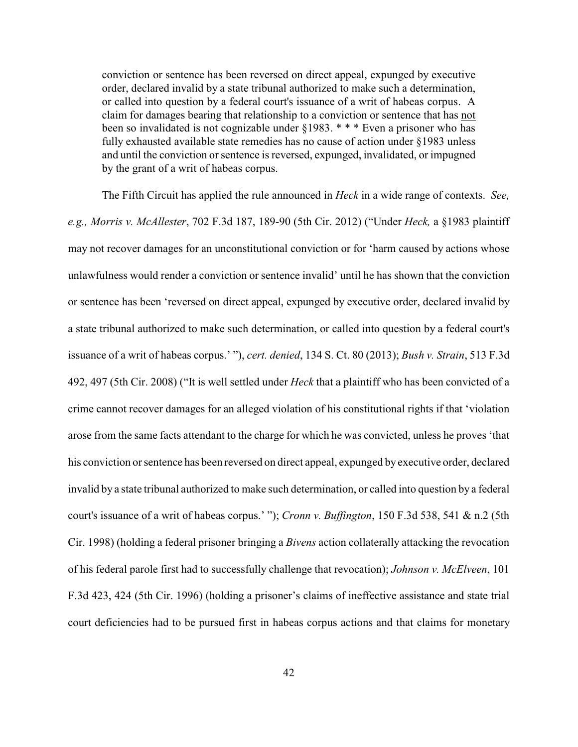conviction or sentence has been reversed on direct appeal, expunged by executive order, declared invalid by a state tribunal authorized to make such a determination, or called into question by a federal court's issuance of a writ of habeas corpus. A claim for damages bearing that relationship to a conviction or sentence that has not been so invalidated is not cognizable under §1983. \* \* \* Even a prisoner who has fully exhausted available state remedies has no cause of action under §1983 unless and until the conviction or sentence is reversed, expunged, invalidated, or impugned by the grant of a writ of habeas corpus.

The Fifth Circuit has applied the rule announced in *Heck* in a wide range of contexts. *See, e.g., Morris v. McAllester*, 702 F.3d 187, 189-90 (5th Cir. 2012) ("Under *Heck,* a §1983 plaintiff may not recover damages for an unconstitutional conviction or for 'harm caused by actions whose unlawfulness would render a conviction or sentence invalid' until he has shown that the conviction or sentence has been 'reversed on direct appeal, expunged by executive order, declared invalid by a state tribunal authorized to make such determination, or called into question by a federal court's issuance of a writ of habeas corpus.' "), *cert. denied*, 134 S. Ct. 80 (2013); *Bush v. Strain*, 513 F.3d 492, 497 (5th Cir. 2008) ("It is well settled under *Heck* that a plaintiff who has been convicted of a crime cannot recover damages for an alleged violation of his constitutional rights if that 'violation arose from the same facts attendant to the charge for which he was convicted, unless he proves 'that his conviction or sentence has been reversed on direct appeal, expunged by executive order, declared invalid by a state tribunal authorized to make such determination, or called into question by a federal court's issuance of a writ of habeas corpus.' "); *Cronn v. Buffington*, 150 F.3d 538, 541 & n.2 (5th Cir. 1998) (holding a federal prisoner bringing a *Bivens* action collaterally attacking the revocation of his federal parole first had to successfully challenge that revocation); *Johnson v. McElveen*, 101 F.3d 423, 424 (5th Cir. 1996) (holding a prisoner's claims of ineffective assistance and state trial court deficiencies had to be pursued first in habeas corpus actions and that claims for monetary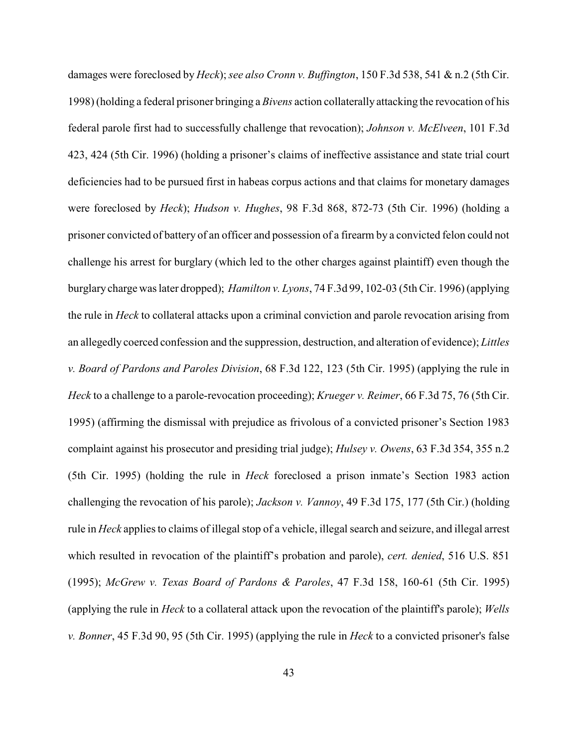damages were foreclosed by *Heck*); *see also Cronn v. Buffington*, 150 F.3d 538, 541 & n.2 (5th Cir. 1998) (holding a federal prisoner bringing a *Bivens* action collaterally attacking the revocation of his federal parole first had to successfully challenge that revocation); *Johnson v. McElveen*, 101 F.3d 423, 424 (5th Cir. 1996) (holding a prisoner's claims of ineffective assistance and state trial court deficiencies had to be pursued first in habeas corpus actions and that claims for monetary damages were foreclosed by *Heck*); *Hudson v. Hughes*, 98 F.3d 868, 872-73 (5th Cir. 1996) (holding a prisoner convicted of battery of an officer and possession of a firearm by a convicted felon could not challenge his arrest for burglary (which led to the other charges against plaintiff) even though the burglarycharge was later dropped); *Hamilton v. Lyons*, 74 F.3d 99, 102-03 (5th Cir. 1996) (applying the rule in *Heck* to collateral attacks upon a criminal conviction and parole revocation arising from an allegedly coerced confession and the suppression, destruction, and alteration of evidence); *Littles v. Board of Pardons and Paroles Division*, 68 F.3d 122, 123 (5th Cir. 1995) (applying the rule in *Heck* to a challenge to a parole-revocation proceeding); *Krueger v. Reimer*, 66 F.3d 75, 76 (5th Cir. 1995) (affirming the dismissal with prejudice as frivolous of a convicted prisoner's Section 1983 complaint against his prosecutor and presiding trial judge); *Hulsey v. Owens*, 63 F.3d 354, 355 n.2 (5th Cir. 1995) (holding the rule in *Heck* foreclosed a prison inmate's Section 1983 action challenging the revocation of his parole); *Jackson v. Vannoy*, 49 F.3d 175, 177 (5th Cir.) (holding rule in *Heck* applies to claims of illegal stop of a vehicle, illegal search and seizure, and illegal arrest which resulted in revocation of the plaintiff's probation and parole), *cert. denied*, 516 U.S. 851 (1995); *McGrew v. Texas Board of Pardons & Paroles*, 47 F.3d 158, 160-61 (5th Cir. 1995) (applying the rule in *Heck* to a collateral attack upon the revocation of the plaintiff's parole); *Wells v. Bonner*, 45 F.3d 90, 95 (5th Cir. 1995) (applying the rule in *Heck* to a convicted prisoner's false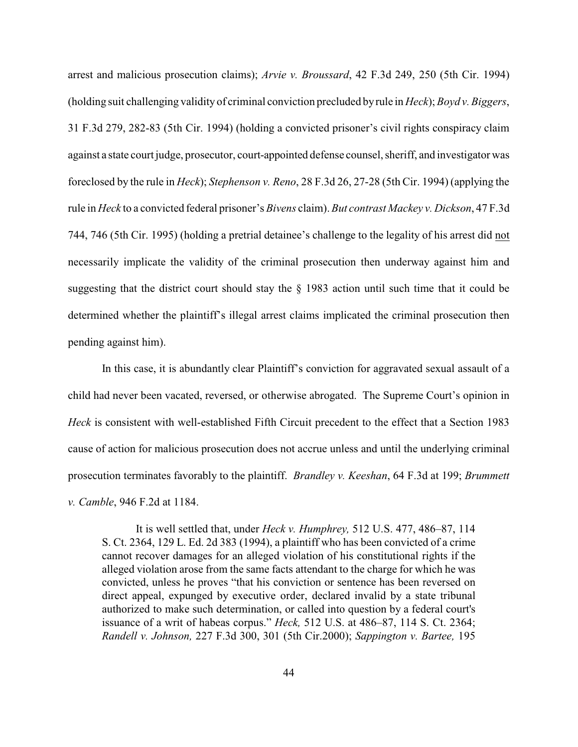arrest and malicious prosecution claims); *Arvie v. Broussard*, 42 F.3d 249, 250 (5th Cir. 1994) (holding suit challenging validity of criminal conviction precluded byrule in *Heck*); *Boyd v. Biggers*, 31 F.3d 279, 282-83 (5th Cir. 1994) (holding a convicted prisoner's civil rights conspiracy claim against a state court judge, prosecutor, court-appointed defense counsel, sheriff, and investigator was foreclosed by the rule in *Heck*); *Stephenson v. Reno*, 28 F.3d 26, 27-28 (5th Cir. 1994) (applying the rule in *Heck* to a convicted federal prisoner's *Bivens* claim). *But contrast Mackey v. Dickson*, 47 F.3d 744, 746 (5th Cir. 1995) (holding a pretrial detainee's challenge to the legality of his arrest did not necessarily implicate the validity of the criminal prosecution then underway against him and suggesting that the district court should stay the § 1983 action until such time that it could be determined whether the plaintiff's illegal arrest claims implicated the criminal prosecution then pending against him).

In this case, it is abundantly clear Plaintiff's conviction for aggravated sexual assault of a child had never been vacated, reversed, or otherwise abrogated. The Supreme Court's opinion in *Heck* is consistent with well-established Fifth Circuit precedent to the effect that a Section 1983 cause of action for malicious prosecution does not accrue unless and until the underlying criminal prosecution terminates favorably to the plaintiff. *Brandley v. Keeshan*, 64 F.3d at 199; *Brummett v. Camble*, 946 F.2d at 1184.

It is well settled that, under *Heck v. Humphrey,* 512 U.S. 477, 486–87, 114 S. Ct. 2364, 129 L. Ed. 2d 383 (1994), a plaintiff who has been convicted of a crime cannot recover damages for an alleged violation of his constitutional rights if the alleged violation arose from the same facts attendant to the charge for which he was convicted, unless he proves "that his conviction or sentence has been reversed on direct appeal, expunged by executive order, declared invalid by a state tribunal authorized to make such determination, or called into question by a federal court's issuance of a writ of habeas corpus." *Heck,* 512 U.S. at 486–87, 114 S. Ct. 2364; *Randell v. Johnson,* 227 F.3d 300, 301 (5th Cir.2000); *Sappington v. Bartee,* 195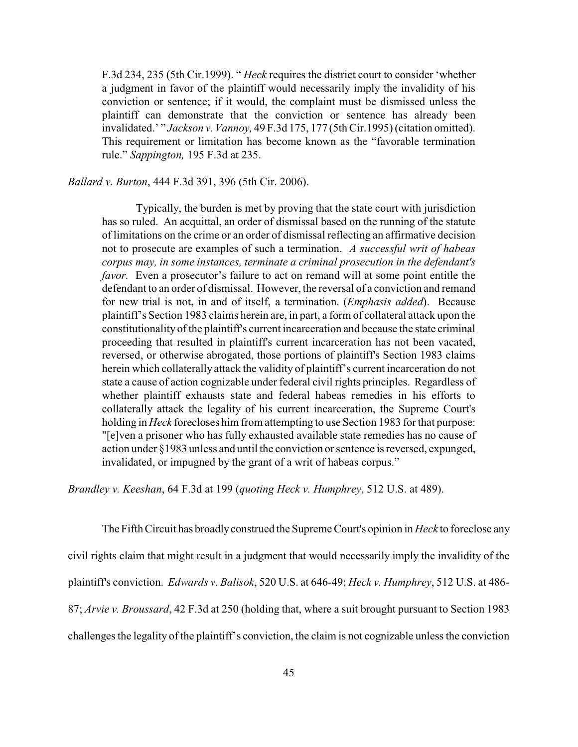F.3d 234, 235 (5th Cir.1999). " *Heck* requires the district court to consider 'whether a judgment in favor of the plaintiff would necessarily imply the invalidity of his conviction or sentence; if it would, the complaint must be dismissed unless the plaintiff can demonstrate that the conviction or sentence has already been invalidated.' " *Jackson v. Vannoy,* 49 F.3d 175, 177 (5th Cir.1995) (citation omitted). This requirement or limitation has become known as the "favorable termination rule." *Sappington,* 195 F.3d at 235.

*Ballard v. Burton*, 444 F.3d 391, 396 (5th Cir. 2006).

Typically, the burden is met by proving that the state court with jurisdiction has so ruled. An acquittal, an order of dismissal based on the running of the statute of limitations on the crime or an order of dismissal reflecting an affirmative decision not to prosecute are examples of such a termination. *A successful writ of habeas corpus may, in some instances, terminate a criminal prosecution in the defendant's favor.* Even a prosecutor's failure to act on remand will at some point entitle the defendant to an order of dismissal. However, the reversal of a conviction and remand for new trial is not, in and of itself, a termination. (*Emphasis added*). Because plaintiff's Section 1983 claims herein are, in part, a form of collateral attack upon the constitutionality of the plaintiff's current incarceration and because the state criminal proceeding that resulted in plaintiff's current incarceration has not been vacated, reversed, or otherwise abrogated, those portions of plaintiff's Section 1983 claims herein which collaterally attack the validity of plaintiff's current incarceration do not state a cause of action cognizable under federal civil rights principles. Regardless of whether plaintiff exhausts state and federal habeas remedies in his efforts to collaterally attack the legality of his current incarceration, the Supreme Court's holding in *Heck* forecloses him from attempting to use Section 1983 for that purpose: "[e]ven a prisoner who has fully exhausted available state remedies has no cause of action under §1983 unless and until the conviction or sentence is reversed, expunged, invalidated, or impugned by the grant of a writ of habeas corpus."

*Brandley v. Keeshan*, 64 F.3d at 199 (*quoting Heck v. Humphrey*, 512 U.S. at 489).

The Fifth Circuit has broadlyconstrued the Supreme Court's opinion in *Heck* to foreclose any civil rights claim that might result in a judgment that would necessarily imply the invalidity of the plaintiff's conviction. *Edwards v. Balisok*, 520 U.S. at 646-49; *Heck v. Humphrey*, 512 U.S. at 486- 87; *Arvie v. Broussard*, 42 F.3d at 250 (holding that, where a suit brought pursuant to Section 1983 challenges the legality of the plaintiff's conviction, the claim is not cognizable unless the conviction